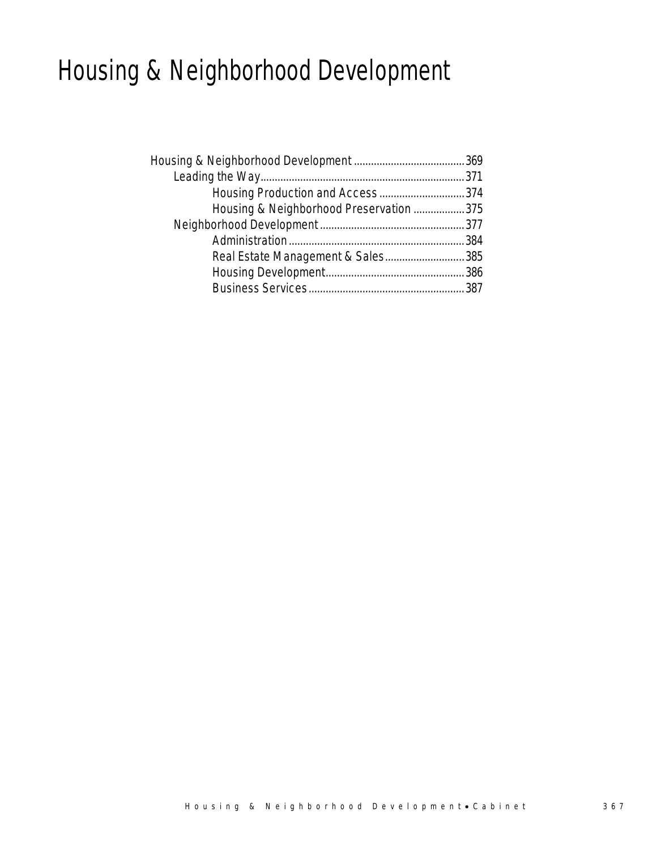# Housing & Neighborhood Development

| Housing Production and Access374        |  |
|-----------------------------------------|--|
| Housing & Neighborhood Preservation 375 |  |
|                                         |  |
|                                         |  |
| Real Estate Management & Sales385       |  |
|                                         |  |
|                                         |  |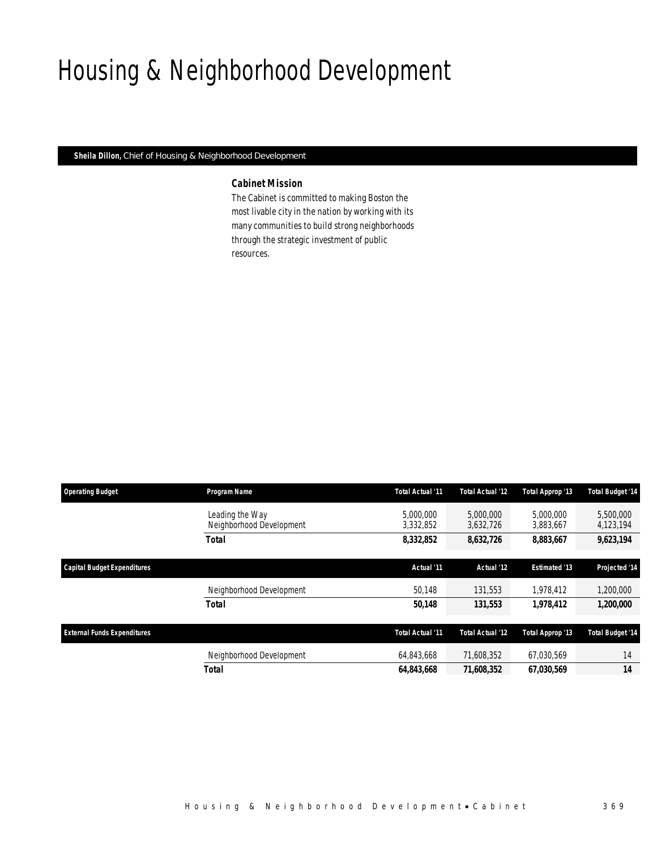# Housing & Neighborhood Development

*Sheila Dillon, Chief of Housing & Neighborhood Development* 

## *Cabinet Mission*

The Cabinet is committed to making Boston the most livable city in the nation by working with its many communities to build strong neighborhoods through the strategic investment of public resources.

| <b>Operating Budget</b>            | Program Name                                | Total Actual '11       | Total Actual '12       | Total Approp '13       | <b>Total Budget '14</b> |
|------------------------------------|---------------------------------------------|------------------------|------------------------|------------------------|-------------------------|
|                                    | Leading the Way<br>Neighborhood Development | 5,000,000<br>3,332,852 | 5,000,000<br>3,632,726 | 5,000,000<br>3,883,667 | 5,500,000<br>4,123,194  |
|                                    | <b>Total</b>                                | 8,332,852              | 8,632,726              | 8,883,667              | 9,623,194               |
|                                    |                                             | Actual '11             | Actual '12             | <b>Estimated '13</b>   |                         |
| Capital Budget Expenditures        |                                             |                        |                        |                        | Projected '14           |
|                                    | Neighborhood Development                    | 50,148                 | 131,553                | 1,978,412              | 1,200,000               |
|                                    | <b>Total</b>                                | 50,148                 | 131,553                | 1,978,412              | 1,200,000               |
|                                    |                                             |                        |                        |                        |                         |
| <b>External Funds Expenditures</b> |                                             | Total Actual '11       | Total Actual '12       | Total Approp '13       | <b>Total Budget '14</b> |
|                                    | Neighborhood Development                    | 64.843.668             | 71.608.352             | 67.030.569             | 14                      |
|                                    | <b>Total</b>                                | 64,843,668             | 71.608.352             | 67.030.569             | 14                      |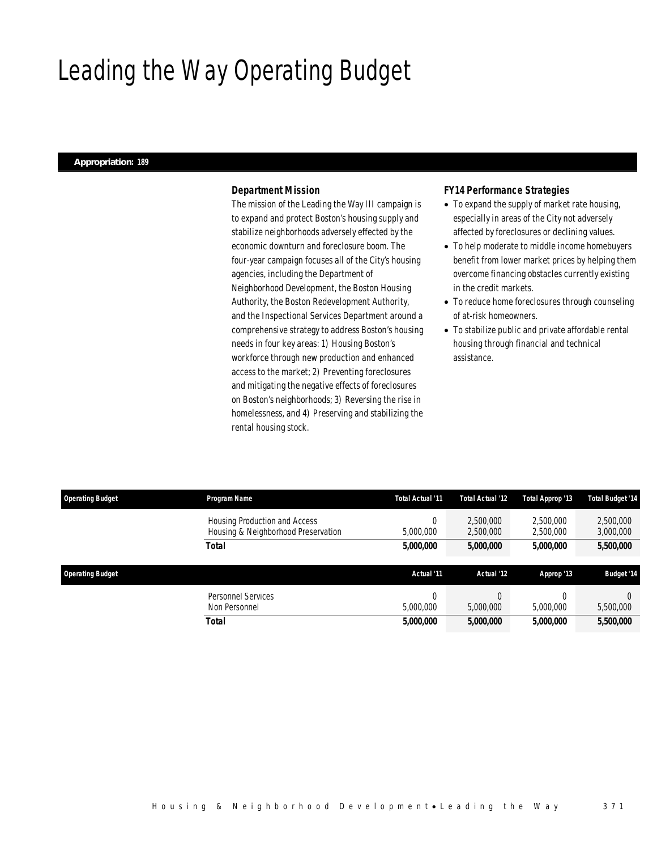# Leading the Way Operating Budget

### *Appropriation: 189*

## *Department Mission*

The mission of the Leading the Way III campaign is to expand and protect Boston's housing supply and stabilize neighborhoods adversely effected by the economic downturn and foreclosure boom. The four-year campaign focuses all of the City's housing agencies, including the Department of Neighborhood Development, the Boston Housing Authority, the Boston Redevelopment Authority, and the Inspectional Services Department around a comprehensive strategy to address Boston's housing needs in four key areas: 1) Housing Boston's workforce through new production and enhanced access to the market; 2) Preventing foreclosures and mitigating the negative effects of foreclosures on Boston's neighborhoods; 3) Reversing the rise in homelessness, and 4) Preserving and stabilizing the rental housing stock.

## *FY14 Performance Strategies*

- To expand the supply of market rate housing, especially in areas of the City not adversely affected by foreclosures or declining values.
- To help moderate to middle income homebuyers benefit from lower market prices by helping them overcome financing obstacles currently existing in the credit markets.
- To reduce home foreclosures through counseling of at-risk homeowners.
- To stabilize public and private affordable rental housing through financial and technical assistance.

| <b>Operating Budget</b> | Program Name                                                         |                 | Total Actual '11       |                        | Total Actual '12       | Total Approp '13 | <b>Total Budget '14</b> |  |
|-------------------------|----------------------------------------------------------------------|-----------------|------------------------|------------------------|------------------------|------------------|-------------------------|--|
|                         | Housing Production and Access<br>Housing & Neighborhood Preservation | U<br>5,000,000  | 2,500,000<br>2,500,000 | 2.500.000<br>2,500,000 | 2,500,000<br>3,000,000 |                  |                         |  |
|                         | <b>Total</b>                                                         | 5,000,000       | 5,000,000              | 5,000,000              | 5,500,000              |                  |                         |  |
| <b>Operating Budget</b> |                                                                      | Actual '11      | Actual '12             | Approp '13             | <b>Budget '14</b>      |                  |                         |  |
|                         |                                                                      |                 |                        |                        |                        |                  |                         |  |
|                         | Personnel Services<br>Non Personnel                                  | υ.<br>5,000,000 | 5,000,000              | 5,000,000              | 5,500,000              |                  |                         |  |
|                         |                                                                      |                 |                        |                        |                        |                  |                         |  |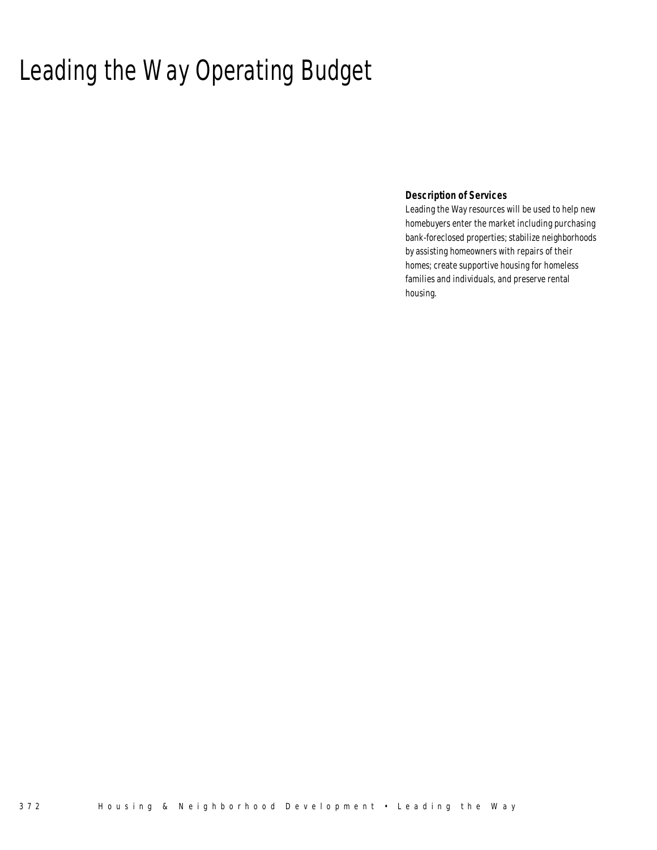# Leading the Way Operating Budget

 *Description of Services* 

Leading the Way resources will be used to help new homebuyers enter the market including purchasing bank-foreclosed properties; stabilize neighborhoods by assisting homeowners with repairs of their homes; create supportive housing for homeless families and individuals, and preserve rental housing.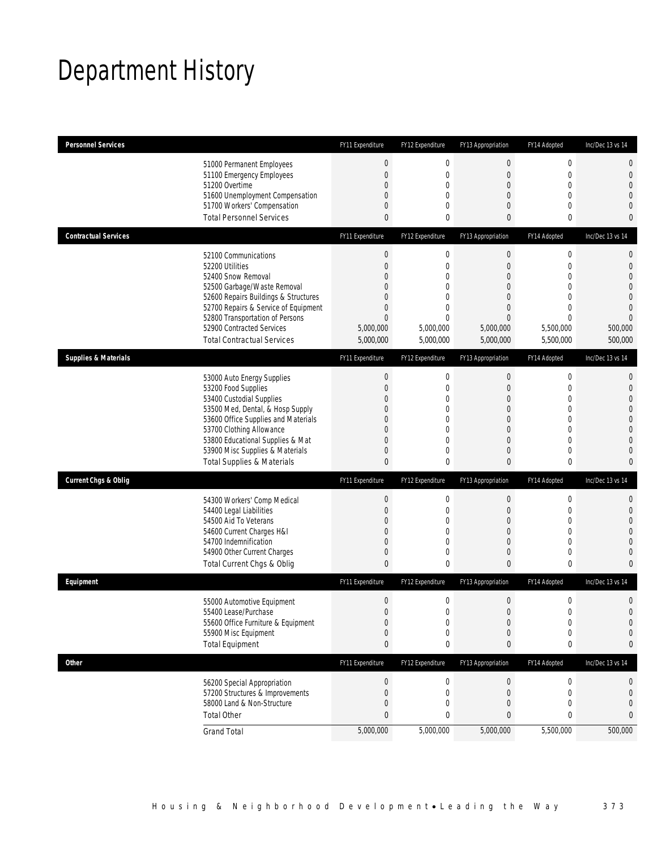# Department History

| <b>Personnel Services</b>       |                                                                         | FY11 Expenditure    | FY12 Expenditure             | FY13 Appropriation            | FY14 Adopted                | Inc/Dec 13 vs 14                 |
|---------------------------------|-------------------------------------------------------------------------|---------------------|------------------------------|-------------------------------|-----------------------------|----------------------------------|
|                                 | 51000 Permanent Employees                                               | $\boldsymbol{0}$    | $\boldsymbol{0}$             | $\boldsymbol{0}$              | $\mathbf 0$                 | $\mathbf 0$                      |
|                                 | 51100 Emergency Employees                                               | $\mathbf{0}$        | $\mathbf 0$                  | $\mathbf 0$                   | $\mathbf 0$                 | $\mathbf 0$                      |
|                                 | 51200 Overtime<br>51600 Unemployment Compensation                       | 0<br>0              | $\mathbf{0}$<br>$\mathbf{0}$ | $\theta$<br>$\overline{0}$    | $\mathbf 0$<br>$\mathbf{0}$ | $\overline{0}$<br>$\overline{0}$ |
|                                 | 51700 Workers' Compensation                                             | 0                   | $\mathbf{0}$                 | $\theta$                      | $\mathbf{0}$                | $\mathbf{0}$                     |
|                                 | <b>Total Personnel Services</b>                                         | $\mathbf{0}$        | 0                            | $\mathbf{0}$                  | 0                           | $\mathbf{0}$                     |
| <b>Contractual Services</b>     |                                                                         | FY11 Expenditure    | FY12 Expenditure             | FY13 Appropriation            | FY14 Adopted                | Inc/Dec 13 vs 14                 |
|                                 | 52100 Communications                                                    | $\boldsymbol{0}$    | $\boldsymbol{0}$             | $\boldsymbol{0}$              | $\boldsymbol{0}$            | $\mathbf 0$                      |
|                                 | 52200 Utilities                                                         | $\boldsymbol{0}$    | $\mathbf 0$                  | $\mathbf 0$                   | $\mathbf 0$                 | $\mathbf 0$                      |
|                                 | 52400 Snow Removal                                                      | 0                   | $\mathbf 0$                  | $\overline{0}$                | $\mathbf{0}$                | $\overline{0}$                   |
|                                 | 52500 Garbage/Waste Removal                                             | $\Omega$            | $\mathbf 0$                  | $\theta$                      | $\overline{0}$              | $\overline{0}$                   |
|                                 | 52600 Repairs Buildings & Structures                                    | $\Omega$            | $\mathbf{0}$                 | $\overline{0}$                | $\overline{0}$              | $\overline{0}$                   |
|                                 | 52700 Repairs & Service of Equipment<br>52800 Transportation of Persons | 0<br>$\overline{0}$ | $\mathbf 0$<br>$\mathbf{0}$  | $\theta$<br>$\overline{0}$    | $\mathbf 0$<br>$\Omega$     | $\overline{0}$<br>$\overline{0}$ |
|                                 | 52900 Contracted Services                                               | 5,000,000           | 5,000,000                    | 5,000,000                     | 5,500,000                   | 500,000                          |
|                                 | <b>Total Contractual Services</b>                                       | 5,000,000           | 5,000,000                    | 5,000,000                     | 5,500,000                   | 500,000                          |
| <b>Supplies &amp; Materials</b> |                                                                         | FY11 Expenditure    | FY12 Expenditure             | FY13 Appropriation            | FY14 Adopted                | Inc/Dec 13 vs 14                 |
|                                 | 53000 Auto Energy Supplies                                              | $\boldsymbol{0}$    | $\mathbf 0$                  | $\boldsymbol{0}$              | 0                           | $\mathbf{0}$                     |
|                                 | 53200 Food Supplies                                                     | $\boldsymbol{0}$    | $\mathbf 0$                  | $\mathbf 0$                   | $\mathbf 0$                 | $\mathbf{0}$                     |
|                                 | 53400 Custodial Supplies                                                | 0                   | $\mathbf 0$                  | $\theta$                      | $\mathbf{0}$                | $\mathbf{0}$                     |
|                                 | 53500 Med, Dental, & Hosp Supply                                        | 0                   | $\mathbf 0$                  | $\theta$                      | $\overline{0}$              | $\overline{0}$                   |
|                                 | 53600 Office Supplies and Materials                                     | $\Omega$            | $\mathbf{0}$                 | $\overline{0}$                | $\mathbf{0}$                | $\mathbf 0$                      |
|                                 | 53700 Clothing Allowance                                                | $\Omega$            | $\mathbf 0$                  | $\theta$                      | $\mathbf 0$                 | $\overline{0}$                   |
|                                 | 53800 Educational Supplies & Mat                                        | 0                   | $\mathbf{0}$                 | $\overline{0}$                | $\mathbf{0}$                | $\overline{0}$                   |
|                                 | 53900 Misc Supplies & Materials                                         | 0                   | $\mathbf 0$                  | $\overline{0}$                | $\mathbf{0}$                | $\overline{0}$                   |
|                                 | <b>Total Supplies &amp; Materials</b>                                   | $\mathbf{0}$        | 0                            | $\mathbf{0}$                  | $\bf{0}$                    | $\mathbf{0}$                     |
| <b>Current Chgs &amp; Oblig</b> |                                                                         | FY11 Expenditure    | FY12 Expenditure             | FY13 Appropriation            | FY14 Adopted                | Inc/Dec 13 vs 14                 |
|                                 | 54300 Workers' Comp Medical                                             | $\boldsymbol{0}$    | $\mathbf 0$                  | $\boldsymbol{0}$              | $\boldsymbol{0}$            | $\mathbf 0$                      |
|                                 | 54400 Legal Liabilities                                                 | $\overline{0}$      | $\mathbf 0$                  | $\theta$                      | $\mathbf 0$                 | $\mathbf 0$                      |
|                                 | 54500 Aid To Veterans                                                   | 0                   | $\mathbf{0}$                 | $\overline{0}$                | $\mathbf{0}$                | $\overline{0}$                   |
|                                 | 54600 Current Charges H&I                                               | 0                   | $\mathbf{0}$                 | $\theta$                      | $\overline{0}$              | $\overline{0}$                   |
|                                 | 54700 Indemnification<br>54900 Other Current Charges                    | $\overline{0}$<br>0 | $\mathbf{0}$<br>0            | $\overline{0}$<br>$\mathbf 0$ | $\mathbf{0}$<br>$\mathbf 0$ | $\overline{0}$<br>$\mathbf{0}$   |
|                                 | Total Current Chgs & Oblig                                              | $\mathbf{0}$        | 0                            | $\mathbf{0}$                  | $\mathbf 0$                 | $\mathbf{0}$                     |
| Equipment                       |                                                                         | FY11 Expenditure    | FY12 Expenditure             | FY13 Appropriation            | FY14 Adopted                | Inc/Dec 13 vs 14                 |
|                                 | 55000 Automotive Equipment                                              | $\boldsymbol{0}$    | 0                            | $\mathbf 0$                   | $\boldsymbol{0}$            | $\mathbf 0$                      |
|                                 | 55400 Lease/Purchase                                                    | $\Omega$            | $\Omega$                     | $\Omega$                      | $\theta$                    | $\Omega$                         |
|                                 | 55600 Office Furniture & Equipment                                      | $\boldsymbol{0}$    | $\mathbf 0$                  | $\theta$                      | $\pmb{0}$                   | $\mathbf 0$                      |
|                                 | 55900 Misc Equipment                                                    | $\boldsymbol{0}$    | $\boldsymbol{0}$             | $\theta$                      | $\mathbf 0$                 | $\mathbf 0$                      |
|                                 | <b>Total Equipment</b>                                                  | $\pmb{0}$           | 0                            | 0                             | $\pmb{0}$                   | 0                                |
| <b>Other</b>                    |                                                                         | FY11 Expenditure    | FY12 Expenditure             | FY13 Appropriation            | FY14 Adopted                | Inc/Dec 13 vs 14                 |
|                                 | 56200 Special Appropriation                                             | $\boldsymbol{0}$    | $\boldsymbol{0}$             | $\theta$                      | 0                           | 0                                |
|                                 | 57200 Structures & Improvements                                         | $\boldsymbol{0}$    | $\boldsymbol{0}$             | $\mathbf 0$                   | $\boldsymbol{0}$            | $\mathbf 0$                      |
|                                 | 58000 Land & Non-Structure                                              | 0                   | 0                            | $\theta$                      | $\mathbf 0$                 | $\mathbf 0$                      |
|                                 | <b>Total Other</b>                                                      | $\bf{0}$            | 0                            | 0                             | $\bf{0}$                    | 0                                |
|                                 | <b>Grand Total</b>                                                      | 5,000,000           | 5,000,000                    | 5,000,000                     | 5,500,000                   | 500,000                          |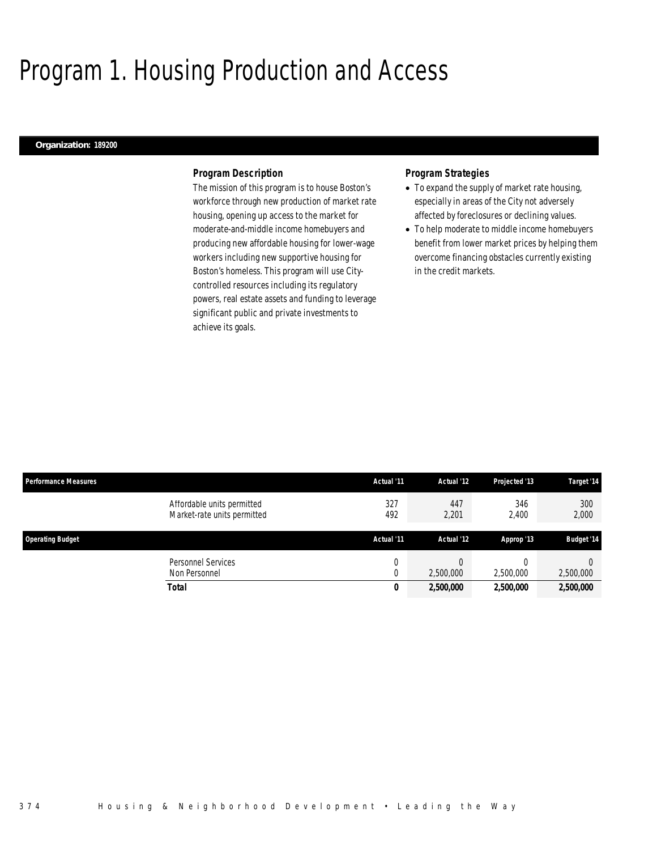# Program 1. Housing Production and Access

### *Organization: 189200*

## *Program Description*

The mission of this program is to house Boston's workforce through new production of market rate housing, opening up access to the market for moderate-and-middle income homebuyers and producing new affordable housing for lower-wage workers including new supportive housing for Boston's homeless. This program will use Citycontrolled resources including its regulatory powers, real estate assets and funding to leverage significant public and private investments to achieve its goals.

## *Program Strategies*

- To expand the supply of market rate housing, especially in areas of the City not adversely affected by foreclosures or declining values.
- To help moderate to middle income homebuyers benefit from lower market prices by helping them overcome financing obstacles currently existing in the credit markets.

| <b>Performance Measures</b>                               | Actual '11 | Actual '12   | Projected '13 | Target '14        |
|-----------------------------------------------------------|------------|--------------|---------------|-------------------|
| Affordable units permitted<br>Market-rate units permitted | 327<br>492 | 447<br>2,201 | 346<br>2,400  | 300<br>2,000      |
| <b>Operating Budget</b>                                   | Actual '11 | Actual '12   | Approp '13    | <b>Budget '14</b> |
| Personnel Services<br>Non Personnel                       |            | 2,500,000    | 2,500,000     | 2,500,000         |
| <b>Total</b>                                              | 0          | 2,500,000    | 2,500,000     | 2,500,000         |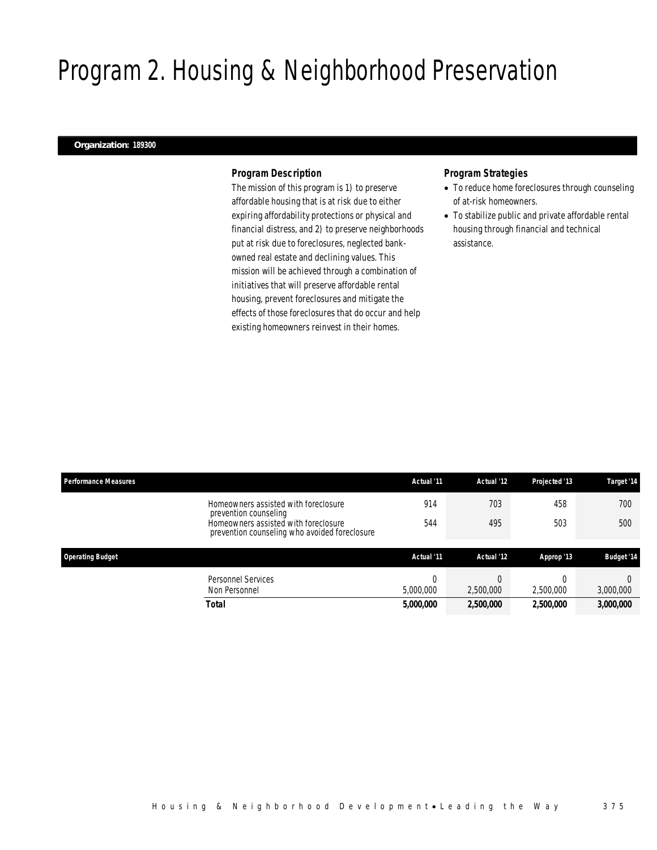# Program 2. Housing & Neighborhood Preservation

### *Organization: 189300*

## *Program Description*

The mission of this program is 1) to preserve affordable housing that is at risk due to either expiring affordability protections or physical and financial distress, and 2) to preserve neighborhoods put at risk due to foreclosures, neglected bankowned real estate and declining values. This mission will be achieved through a combination of initiatives that will preserve affordable rental housing, prevent foreclosures and mitigate the effects of those foreclosures that do occur and help existing homeowners reinvest in their homes.

# *Program Strategies*

- To reduce home foreclosures through counseling of at-risk homeowners.
- To stabilize public and private affordable rental housing through financial and technical assistance.

| <b>Performance Measures</b> |                                                                                       | Actual '11 | Actual '12 | Projected '13 | Target '14        |
|-----------------------------|---------------------------------------------------------------------------------------|------------|------------|---------------|-------------------|
|                             | Homeowners assisted with foreclosure<br>prevention counseling                         | 914        | 703        | 458           | 700               |
|                             | Homeowners assisted with foreclosure<br>prevention counseling who avoided foreclosure | 544        | 495        | 503           | 500               |
|                             |                                                                                       |            |            |               |                   |
| <b>Operating Budget</b>     |                                                                                       | Actual '11 | Actual '12 | Approp '13    | <b>Budget '14</b> |
|                             | <b>Personnel Services</b>                                                             |            |            |               |                   |
|                             | Non Personnel                                                                         | 5,000,000  | 2,500,000  | 2.500.000     | 3,000,000         |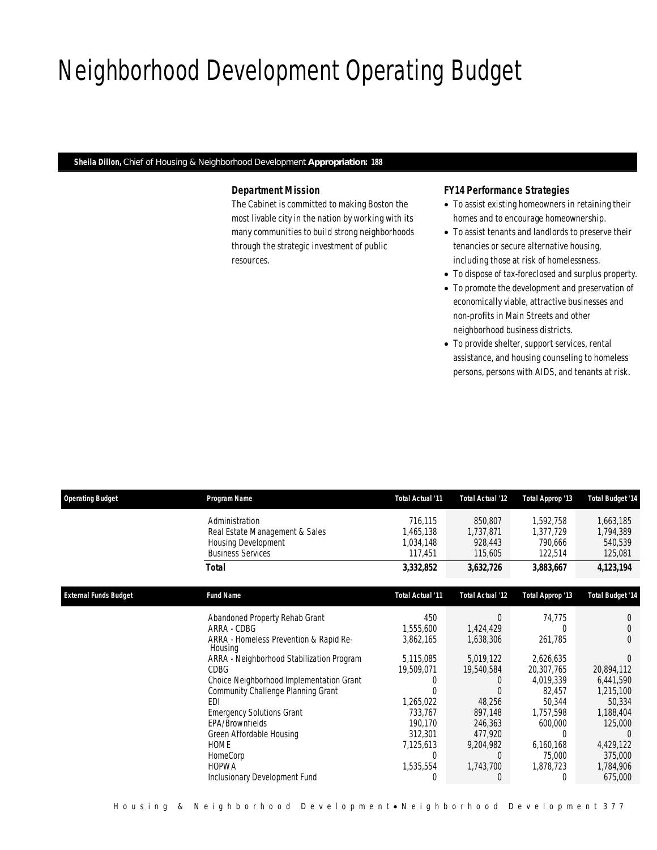# Neighborhood Development Operating Budget

*Sheila Dillon, Chief of Housing & Neighborhood Development Appropriation: 188* 

# *Department Mission*

The Cabinet is committed to making Boston the most livable city in the nation by working with its many communities to build strong neighborhoods through the strategic investment of public resources.

# *FY14 Performance Strategies*

- To assist existing homeowners in retaining their homes and to encourage homeownership.
- To assist tenants and landlords to preserve their tenancies or secure alternative housing, including those at risk of homelessness.
- To dispose of tax-foreclosed and surplus property.
- To promote the development and preservation of economically viable, attractive businesses and non-profits in Main Streets and other neighborhood business districts.
- To provide shelter, support services, rental assistance, and housing counseling to homeless persons, persons with AIDS, and tenants at risk.

| <b>Operating Budget</b>      | Program Name                                      | Total Actual '11        | Total Actual '12        | Total Approp '13 | <b>Total Budget '14</b> |
|------------------------------|---------------------------------------------------|-------------------------|-------------------------|------------------|-------------------------|
|                              | Administration                                    | 716,115                 | 850,807                 | 1,592,758        | 1,663,185               |
|                              | Real Estate Management & Sales                    | 1,465,138               | 1,737,871               | 1,377,729        | 1,794,389               |
|                              | <b>Housing Development</b>                        | 1,034,148               | 928,443                 | 790,666          | 540,539                 |
|                              | <b>Business Services</b>                          | 117,451                 | 115,605                 | 122,514          | 125,081                 |
|                              | <b>Total</b>                                      | 3,332,852               | 3,632,726               | 3,883,667        | 4, 123, 194             |
| <b>External Funds Budget</b> | <b>Fund Name</b>                                  | <b>Total Actual '11</b> | <b>Total Actual '12</b> | Total Approp '13 | <b>Total Budget '14</b> |
|                              | Abandoned Property Rehab Grant                    | 450                     | $\Omega$                | 74,775           |                         |
|                              | ARRA - CDBG                                       | 1,555,600               | 1,424,429               |                  |                         |
|                              | ARRA - Homeless Prevention & Rapid Re-<br>Housing | 3,862,165               | 1,638,306               | 261,785          | 0                       |
|                              | ARRA - Neighborhood Stabilization Program         | 5,115,085               | 5,019,122               | 2,626,635        |                         |
|                              | <b>CDBG</b>                                       | 19,509,071              | 19,540,584              | 20,307,765       | 20,894,112              |
|                              | Choice Neighborhood Implementation Grant          | 0                       | $\left( \right)$        | 4,019,339        | 6,441,590               |
|                              | Community Challenge Planning Grant                |                         |                         | 82,457           | 1,215,100               |
|                              | EDI                                               | 1,265,022               | 48,256                  | 50,344           | 50,334                  |
|                              | <b>Emergency Solutions Grant</b>                  | 733,767                 | 897,148                 | 1,757,598        | 1,188,404               |
|                              | EPA/Brownfields                                   | 190,170                 | 246,363                 | 600,000          | 125,000                 |
|                              | Green Affordable Housing                          | 312,301                 | 477,920                 | 0                |                         |
|                              | <b>HOME</b>                                       | 7,125,613               | 9,204,982               | 6,160,168        | 4,429,122               |
|                              | HomeCorp                                          | $\Omega$                | $\Box$                  | 75,000           | 375,000                 |
|                              | <b>HOPWA</b>                                      | 1,535,554               | 1,743,700               | 1,878,723        | 1,784,906               |
|                              | Inclusionary Development Fund                     | 0                       | O                       | 0                | 675,000                 |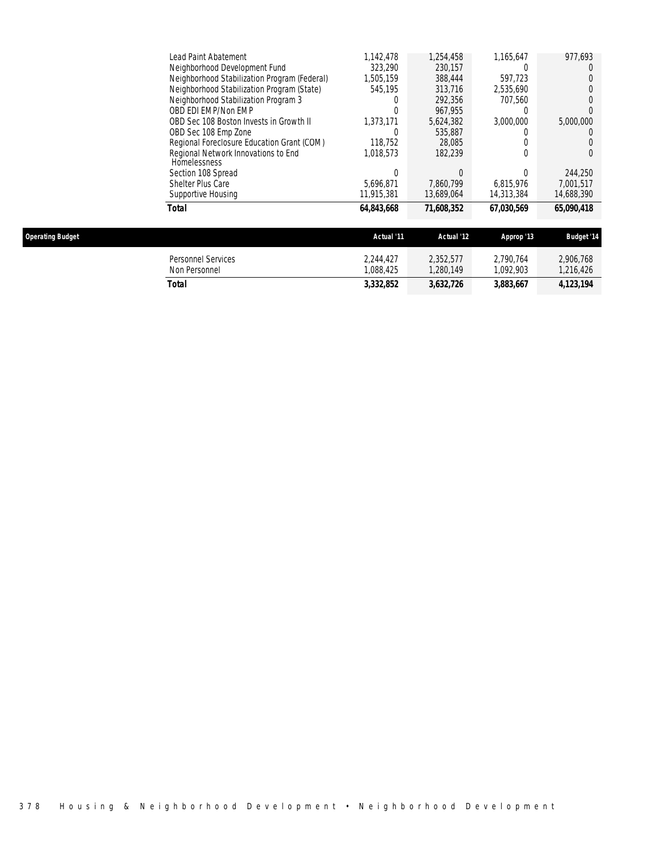| Total                                               | 64.843.668 | 71,608,352 | 67.030.569       | 65.090.418 |
|-----------------------------------------------------|------------|------------|------------------|------------|
| Supportive Housing                                  | 11,915,381 | 13.689.064 | 14.313.384       | 14.688.390 |
| Shelter Plus Care                                   | 5.696.871  | 7.860.799  | 6.815.976        | 7.001.517  |
| Section 108 Spread                                  |            |            | 0                | 244,250    |
| Regional Network Innovations to End<br>Homelessness | 1,018,573  | 182.239    |                  |            |
| Regional Foreclosure Education Grant (COM)          | 118.752    | 28,085     |                  |            |
| OBD Sec 108 Emp Zone                                |            | 535,887    |                  |            |
| OBD Sec 108 Boston Invests in Growth II             | 1.373.171  | 5.624.382  | 3.000.000        | 5,000,000  |
| OBD EDI EMP/Non EMP                                 |            | 967.955    | O                |            |
| Neighborhood Stabilization Program 3                |            | 292,356    | 707.560          |            |
| Neighborhood Stabilization Program (State)          | 545.195    | 313,716    | 2.535.690        |            |
| Neighborhood Stabilization Program (Federal)        | 1.505.159  | 388,444    | 597.723          |            |
| Neighborhood Development Fund                       | 323.290    | 230.157    | $\left( \right)$ |            |
| Lead Paint Abatement                                | 1.142.478  | 1,254,458  | 1,165,647        | 977.693    |

| <b>Operating Budget</b> |                                     | Actual '11            | Actual '12             | Approp '13            | <b>Budget '14</b>      |
|-------------------------|-------------------------------------|-----------------------|------------------------|-----------------------|------------------------|
|                         | Personnel Services<br>Non Personnel | 2,244,427<br>.088.425 | 2,352,577<br>1.280.149 | 2.790.764<br>.092.903 | 2,906,768<br>1,216,426 |
|                         | Total                               | 3,332,852             | 3,632,726              | 3,883,667             | 4, 123, 194            |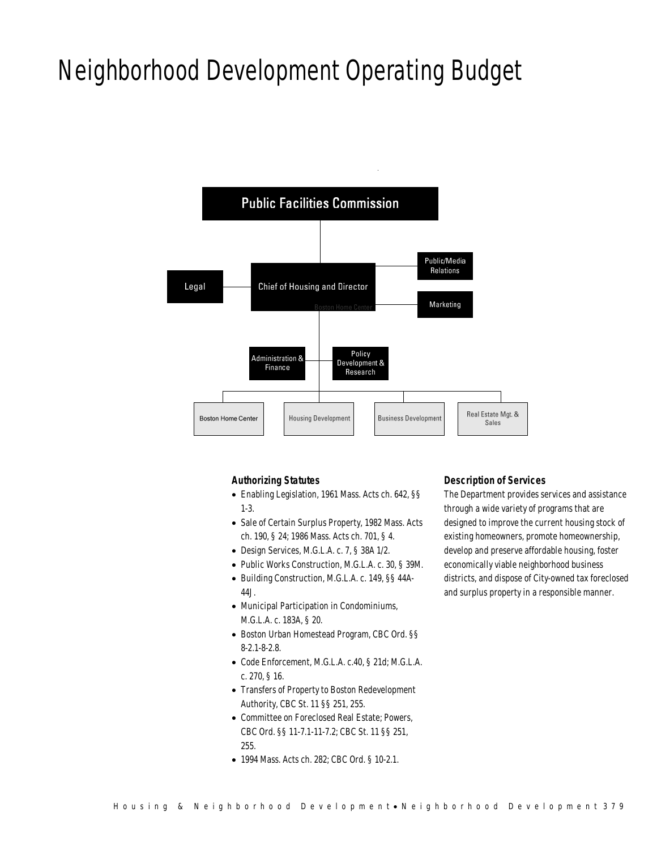# Neighborhood Development Operating Budget



## *Authorizing Statutes*

- Enabling Legislation, 1961 Mass. Acts ch. 642, §§ 1-3.
- Sale of Certain Surplus Property, 1982 Mass. Acts ch. 190, § 24; 1986 Mass. Acts ch. 701, § 4.
- Design Services, M.G.L.A. c. 7, § 38A 1/2.
- Public Works Construction, M.G.L.A. c. 30, § 39M.
- Building Construction, M.G.L.A. c. 149, §§ 44A-44J.
- Municipal Participation in Condominiums, M.G.L.A. c. 183A, § 20.
- Boston Urban Homestead Program, CBC Ord. §§ 8-2.1-8-2.8.
- Code Enforcement, M.G.L.A. c.40, § 21d; M.G.L.A. c. 270, § 16.
- Transfers of Property to Boston Redevelopment Authority, CBC St. 11 §§ 251, 255.
- Committee on Foreclosed Real Estate; Powers, CBC Ord. §§ 11-7.1-11-7.2; CBC St. 11 §§ 251, 255.
- 1994 Mass. Acts ch. 282; CBC Ord. § 10-2.1.

### *Description of Services*

The Department provides services and assistance through a wide variety of programs that are designed to improve the current housing stock of existing homeowners, promote homeownership, develop and preserve affordable housing, foster economically viable neighborhood business districts, and dispose of City-owned tax foreclosed and surplus property in a responsible manner.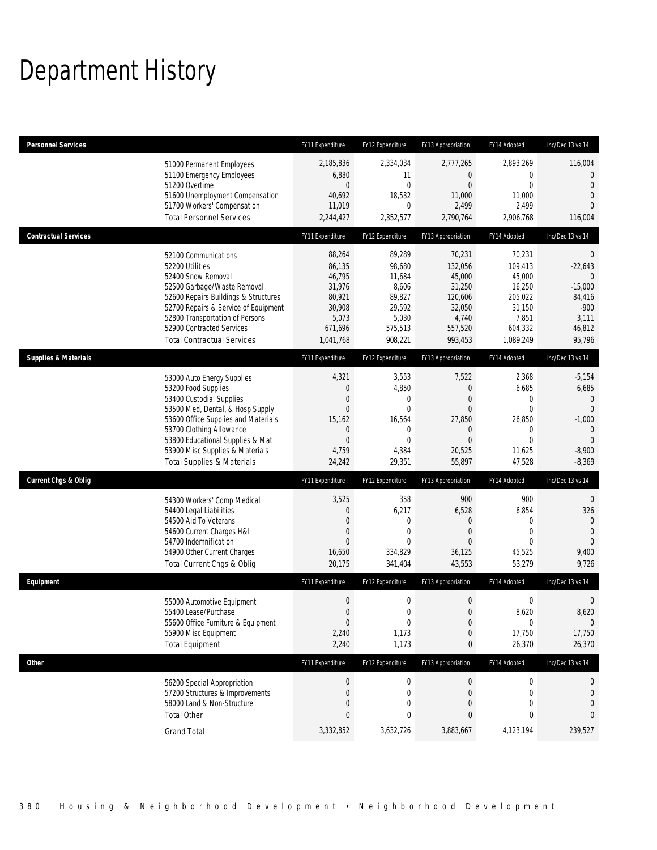# Department History

| <b>Personnel Services</b>       |                                                                                                                                                                                                                                                                                                      | FY11 Expenditure                                                                                | FY12 Expenditure                                                                                      | FY13 Appropriation                                                                                      | FY14 Adopted                                                                                | Inc/Dec 13 vs 14                                                                                                         |
|---------------------------------|------------------------------------------------------------------------------------------------------------------------------------------------------------------------------------------------------------------------------------------------------------------------------------------------------|-------------------------------------------------------------------------------------------------|-------------------------------------------------------------------------------------------------------|---------------------------------------------------------------------------------------------------------|---------------------------------------------------------------------------------------------|--------------------------------------------------------------------------------------------------------------------------|
|                                 | 51000 Permanent Employees<br>51100 Emergency Employees<br>51200 Overtime<br>51600 Unemployment Compensation<br>51700 Workers' Compensation<br><b>Total Personnel Services</b>                                                                                                                        | 2,185,836<br>6,880<br>0<br>40,692<br>11,019<br>2,244,427                                        | 2,334,034<br>11<br>$\mathbf{0}$<br>18,532<br>$\mathbf 0$<br>2,352,577                                 | 2,777,265<br>0<br>$\mathbf{0}$<br>11,000<br>2,499<br>2,790,764                                          | 2,893,269<br>0<br>0<br>11,000<br>2,499<br>2,906,768                                         | 116,004<br>$\theta$<br>$\overline{0}$<br>$\mathbf 0$<br>$\Omega$<br>116,004                                              |
| <b>Contractual Services</b>     |                                                                                                                                                                                                                                                                                                      | FY11 Expenditure                                                                                | FY12 Expenditure                                                                                      | FY13 Appropriation                                                                                      | FY14 Adopted                                                                                | Inc/Dec 13 vs 14                                                                                                         |
|                                 | 52100 Communications<br>52200 Utilities<br>52400 Snow Removal<br>52500 Garbage/Waste Removal<br>52600 Repairs Buildings & Structures<br>52700 Repairs & Service of Equipment<br>52800 Transportation of Persons<br>52900 Contracted Services<br><b>Total Contractual Services</b>                    | 88,264<br>86,135<br>46,795<br>31,976<br>80,921<br>30,908<br>5,073<br>671,696<br>1,041,768       | 89,289<br>98,680<br>11,684<br>8,606<br>89,827<br>29,592<br>5,030<br>575,513<br>908,221                | 70,231<br>132,056<br>45,000<br>31,250<br>120,606<br>32,050<br>4,740<br>557,520<br>993,453               | 70,231<br>109,413<br>45,000<br>16,250<br>205,022<br>31,150<br>7,851<br>604,332<br>1,089,249 | $\overline{0}$<br>$-22,643$<br>$\Omega$<br>$-15,000$<br>84,416<br>$-900$<br>3,111<br>46,812<br>95,796                    |
| <b>Supplies &amp; Materials</b> |                                                                                                                                                                                                                                                                                                      | FY11 Expenditure                                                                                | FY12 Expenditure                                                                                      | FY13 Appropriation                                                                                      | FY14 Adopted                                                                                | Inc/Dec 13 vs 14                                                                                                         |
|                                 | 53000 Auto Energy Supplies<br>53200 Food Supplies<br>53400 Custodial Supplies<br>53500 Med, Dental, & Hosp Supply<br>53600 Office Supplies and Materials<br>53700 Clothing Allowance<br>53800 Educational Supplies & Mat<br>53900 Misc Supplies & Materials<br><b>Total Supplies &amp; Materials</b> | 4,321<br>$\boldsymbol{0}$<br>$\mathbf 0$<br>0<br>15,162<br>0<br>$\mathbf{0}$<br>4,759<br>24,242 | 3,553<br>4,850<br>$\mathbf 0$<br>$\mathbf{0}$<br>16,564<br>$\mathbf 0$<br>$\theta$<br>4,384<br>29,351 | 7,522<br>$\mathbf 0$<br>$\mathbf{0}$<br>$\mathbf{0}$<br>27,850<br>0<br>$\mathbf{0}$<br>20,525<br>55,897 | 2,368<br>6,685<br>0<br>0<br>26,850<br>0<br>0<br>11,625<br>47,528                            | $-5,154$<br>6,685<br>$\mathbf 0$<br>$\overline{0}$<br>$-1,000$<br>$\mathbf{0}$<br>$\overline{0}$<br>$-8,900$<br>$-8,369$ |
| <b>Current Chgs &amp; Oblig</b> |                                                                                                                                                                                                                                                                                                      | FY11 Expenditure                                                                                | FY12 Expenditure                                                                                      | FY13 Appropriation                                                                                      | FY14 Adopted                                                                                | Inc/Dec 13 vs 14                                                                                                         |
|                                 | 54300 Workers' Comp Medical<br>54400 Legal Liabilities<br>54500 Aid To Veterans<br>54600 Current Charges H&I<br>54700 Indemnification<br>54900 Other Current Charges<br>Total Current Chgs & Oblig                                                                                                   | 3,525<br>0<br>$\overline{0}$<br>$\overline{0}$<br>$\Omega$<br>16,650<br>20,175                  | 358<br>6,217<br>$\mathbf 0$<br>$\mathbf 0$<br>$\theta$<br>334,829<br>341,404                          | 900<br>6,528<br>0<br>$\mathbf{0}$<br>$\Omega$<br>36,125<br>43,553                                       | 900<br>6,854<br>$\mathbf{0}$<br>0<br>$\Omega$<br>45,525<br>53,279                           | $\overline{0}$<br>326<br>$\mathbf{0}$<br>$\overline{0}$<br>$\Omega$<br>9,400<br>9,726                                    |
| Equipment                       |                                                                                                                                                                                                                                                                                                      | FY11 Expenditure                                                                                | FY12 Expenditure                                                                                      | FY13 Appropriation                                                                                      | FY14 Adopted                                                                                | Inc/Dec 13 vs 14                                                                                                         |
|                                 | 55000 Automotive Equipment<br>55400 Lease/Purchase<br>55600 Office Furniture & Equipment<br>55900 Misc Equipment<br><b>Total Equipment</b>                                                                                                                                                           | $\boldsymbol{0}$<br>$\boldsymbol{0}$<br>$\overline{0}$<br>2,240<br>2,240                        | $\mathbf 0$<br>0<br>$\boldsymbol{0}$<br>1,173<br>1,173                                                | $\mathbf 0$<br>$\boldsymbol{0}$<br>0<br>0<br>0                                                          | 0<br>8,620<br>0<br>17,750<br>26,370                                                         | $\mathbf 0$<br>8,620<br>$\overline{0}$<br>17,750<br>26,370                                                               |
| <b>Other</b>                    |                                                                                                                                                                                                                                                                                                      | FY11 Expenditure                                                                                | FY12 Expenditure                                                                                      | FY13 Appropriation                                                                                      | FY14 Adopted                                                                                | Inc/Dec 13 vs 14                                                                                                         |
|                                 | 56200 Special Appropriation<br>57200 Structures & Improvements<br>58000 Land & Non-Structure<br><b>Total Other</b>                                                                                                                                                                                   | $\boldsymbol{0}$<br>$\boldsymbol{0}$<br>0<br>0                                                  | $\boldsymbol{0}$<br>$\mathbf 0$<br>$\mathbf 0$<br>0                                                   | 0<br>0<br>0<br>$\bf 0$                                                                                  | 0<br>$\mathbf 0$<br>0<br>0                                                                  | $\theta$<br>$\mathbf 0$<br>$\mathbf 0$<br>$\mathbf{0}$                                                                   |
|                                 | <b>Grand Total</b>                                                                                                                                                                                                                                                                                   | 3,332,852                                                                                       | 3,632,726                                                                                             | 3,883,667                                                                                               | 4,123,194                                                                                   | 239,527                                                                                                                  |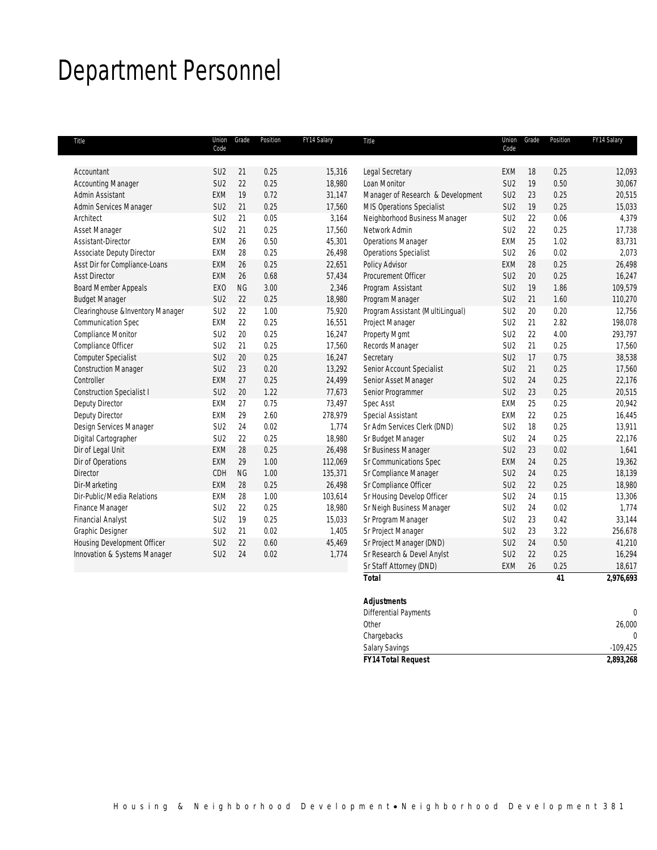# Department Personnel

| Title                            | Union<br>Code   | Grade     | Position | FY14 Salary | Title                             | Code            | Union Grade | Position | FY14 Salary |
|----------------------------------|-----------------|-----------|----------|-------------|-----------------------------------|-----------------|-------------|----------|-------------|
|                                  |                 |           |          |             |                                   |                 |             |          |             |
| Accountant                       | SU <sub>2</sub> | 21        | 0.25     | 15,316      | Legal Secretary                   | EXM             | 18          | 0.25     | 12,093      |
| <b>Accounting Manager</b>        | SU <sub>2</sub> | 22        | 0.25     | 18,980      | Loan Monitor                      | SU <sub>2</sub> | 19          | 0.50     | 30,067      |
| Admin Assistant                  | <b>EXM</b>      | 19        | 0.72     | 31,147      | Manager of Research & Development | SU <sub>2</sub> | 23          | 0.25     | 20,515      |
| Admin Services Manager           | SU <sub>2</sub> | 21        | 0.25     | 17,560      | MIS Operations Specialist         | SU <sub>2</sub> | 19          | 0.25     | 15,033      |
| Architect                        | SU <sub>2</sub> | 21        | 0.05     | 3,164       | Neighborhood Business Manager     | SU <sub>2</sub> | 22          | 0.06     | 4,379       |
| Asset Manager                    | SU <sub>2</sub> | 21        | 0.25     | 17,560      | Network Admin                     | SU <sub>2</sub> | 22          | 0.25     | 17,738      |
| Assistant-Director               | <b>EXM</b>      | 26        | 0.50     | 45,301      | <b>Operations Manager</b>         | EXM             | 25          | 1.02     | 83,731      |
| Associate Deputy Director        | EXM             | 28        | 0.25     | 26,498      | <b>Operations Specialist</b>      | SU <sub>2</sub> | 26          | 0.02     | 2,073       |
| Asst Dir for Compliance-Loans    | <b>EXM</b>      | 26        | 0.25     | 22,651      | Policy Advisor                    | EXM             | 28          | 0.25     | 26,498      |
| <b>Asst Director</b>             | <b>EXM</b>      | 26        | 0.68     | 57,434      | Procurement Officer               | SU <sub>2</sub> | 20          | 0.25     | 16,247      |
| <b>Board Member Appeals</b>      | EXO             | <b>NG</b> | 3.00     | 2,346       | Program Assistant                 | SU <sub>2</sub> | 19          | 1.86     | 109,579     |
| <b>Budget Manager</b>            | SU <sub>2</sub> | 22        | 0.25     | 18,980      | Program Manager                   | SU <sub>2</sub> | 21          | 1.60     | 110,270     |
| Clearinghouse &Inventory Manager | SU <sub>2</sub> | 22        | 1.00     | 75,920      | Program Assistant (MultiLingual)  | SU <sub>2</sub> | 20          | 0.20     | 12,756      |
| Communication Spec               | <b>EXM</b>      | 22        | 0.25     | 16,551      | Project Manager                   | SU <sub>2</sub> | 21          | 2.82     | 198,078     |
| Compliance Monitor               | SU <sub>2</sub> | 20        | 0.25     | 16,247      | Property Mgmt                     | SU <sub>2</sub> | 22          | 4.00     | 293,797     |
| Compliance Officer               | SU <sub>2</sub> | 21        | 0.25     | 17,560      | Records Manager                   | SU <sub>2</sub> | 21          | 0.25     | 17,560      |
| <b>Computer Specialist</b>       | SU <sub>2</sub> | 20        | 0.25     | 16,247      | Secretary                         | SU <sub>2</sub> | 17          | 0.75     | 38,538      |
| <b>Construction Manager</b>      | SU <sub>2</sub> | 23        | 0.20     | 13,292      | Senior Account Specialist         | SU <sub>2</sub> | 21          | 0.25     | 17,560      |
| Controller                       | <b>EXM</b>      | 27        | 0.25     | 24,499      | Senior Asset Manager              | SU <sub>2</sub> | 24          | 0.25     | 22,176      |
| <b>Construction Specialist I</b> | SU <sub>2</sub> | 20        | 1.22     | 77,673      | Senior Programmer                 | SU <sub>2</sub> | 23          | 0.25     | 20,515      |
| Deputy Director                  | EXM             | 27        | 0.75     | 73,497      | Spec Asst                         | EXM             | 25          | 0.25     | 20,942      |
| <b>Deputy Director</b>           | EXM             | 29        | 2.60     | 278,979     | Special Assistant                 | <b>EXM</b>      | 22          | 0.25     | 16,445      |
| Design Services Manager          | SU <sub>2</sub> | 24        | 0.02     | 1,774       | Sr Adm Services Clerk (DND)       | SU <sub>2</sub> | 18          | 0.25     | 13,911      |
| Digital Cartographer             | SU <sub>2</sub> | 22        | 0.25     | 18,980      | Sr Budget Manager                 | SU <sub>2</sub> | 24          | 0.25     | 22,176      |
| Dir of Legal Unit                | <b>EXM</b>      | 28        | 0.25     | 26,498      | Sr Business Manager               | SU <sub>2</sub> | 23          | 0.02     | 1,641       |
| Dir of Operations                | <b>EXM</b>      | 29        | 1.00     | 112,069     | Sr Communications Spec            | EXM             | 24          | 0.25     | 19,362      |
| Director                         | CDH             | <b>NG</b> | 1.00     | 135,371     | Sr Compliance Manager             | SU <sub>2</sub> | 24          | 0.25     | 18,139      |
| Dir-Marketing                    | <b>EXM</b>      | 28        | 0.25     | 26,498      | Sr Compliance Officer             | SU <sub>2</sub> | 22          | 0.25     | 18,980      |
| Dir-Public/Media Relations       | EXM             | 28        | 1.00     | 103,614     | Sr Housing Develop Officer        | SU <sub>2</sub> | 24          | 0.15     | 13,306      |
| Finance Manager                  | SU <sub>2</sub> | 22        | 0.25     | 18,980      | Sr Neigh Business Manager         | SU <sub>2</sub> | 24          | 0.02     | 1,774       |
| <b>Financial Analyst</b>         | SU <sub>2</sub> | 19        | 0.25     | 15,033      | Sr Program Manager                | SU <sub>2</sub> | 23          | 0.42     | 33,144      |
| Graphic Designer                 | SU <sub>2</sub> | 21        | 0.02     | 1,405       | Sr Project Manager                | SU <sub>2</sub> | 23          | 3.22     | 256,678     |
| Housing Development Officer      | SU <sub>2</sub> | 22        | 0.60     | 45,469      | Sr Project Manager (DND)          | SU <sub>2</sub> | 24          | 0.50     | 41,210      |
| Innovation & Systems Manager     | SU <sub>2</sub> | 24        | 0.02     | 1,774       | Sr Research & Devel Anylst        | SU <sub>2</sub> | 22          | 0.25     | 16,294      |
|                                  |                 |           |          |             | Sr Staff Attorney (DND)           | EXM             | 26          | 0.25     | 18,617      |
|                                  |                 |           |          |             | <b>Total</b>                      |                 |             | 41       | 2,976,693   |

| <b>Salary Savings</b>        | $-109,425$ |
|------------------------------|------------|
| Chargebacks                  | 0          |
| Other                        | 26,000     |
| <b>Differential Payments</b> |            |
| <b>Adjustments</b>           |            |
|                              |            |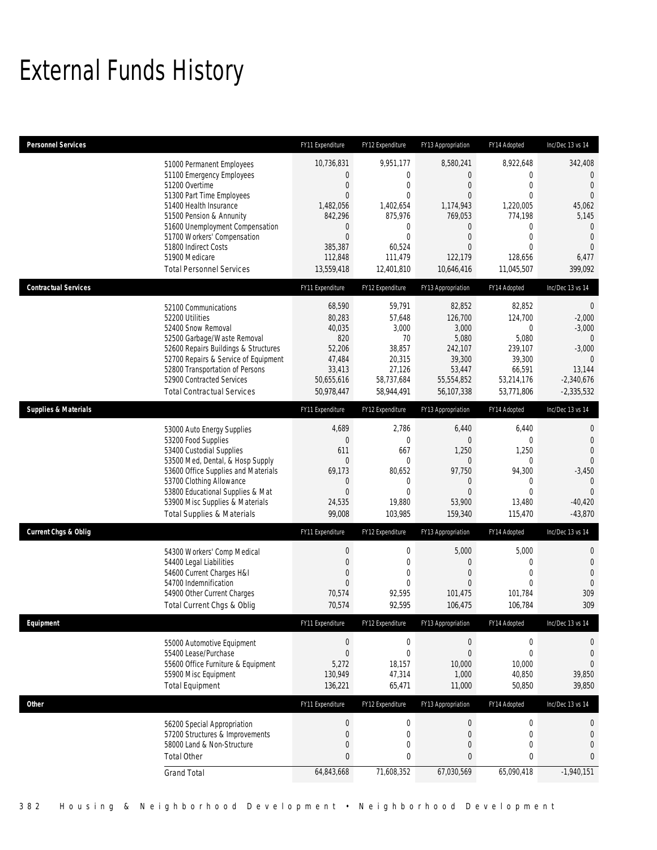# External Funds History

| <b>Personnel Services</b>       |                                                                                                                                                                                                                                                                                                            | FY11 Expenditure                                                                                                                              | FY12 Expenditure                                                                                                                                   | FY13 Appropriation                                                                                                                             | FY14 Adopted                                                                                                                                      | Inc/Dec 13 vs 14                                                                                                                           |
|---------------------------------|------------------------------------------------------------------------------------------------------------------------------------------------------------------------------------------------------------------------------------------------------------------------------------------------------------|-----------------------------------------------------------------------------------------------------------------------------------------------|----------------------------------------------------------------------------------------------------------------------------------------------------|------------------------------------------------------------------------------------------------------------------------------------------------|---------------------------------------------------------------------------------------------------------------------------------------------------|--------------------------------------------------------------------------------------------------------------------------------------------|
|                                 | 51000 Permanent Employees<br>51100 Emergency Employees<br>51200 Overtime<br>51300 Part Time Employees<br>51400 Health Insurance<br>51500 Pension & Annunity<br>51600 Unemployment Compensation<br>51700 Workers' Compensation<br>51800 Indirect Costs<br>51900 Medicare<br><b>Total Personnel Services</b> | 10,736,831<br>0<br>$\mathbf 0$<br>$\overline{0}$<br>1,482,056<br>842,296<br>$\mathbf 0$<br>$\overline{0}$<br>385,387<br>112,848<br>13,559,418 | 9,951,177<br>$\mathbf 0$<br>$\mathbf{0}$<br>$\mathbf{0}$<br>1,402,654<br>875,976<br>$\mathbf 0$<br>$\mathbf{0}$<br>60,524<br>111.479<br>12,401,810 | 8,580,241<br>0<br>$\boldsymbol{0}$<br>$\overline{0}$<br>1,174,943<br>769,053<br>0<br>$\boldsymbol{0}$<br>$\mathbf{0}$<br>122.179<br>10,646,416 | 8,922,648<br>$\mathbf{0}$<br>$\mathbf{0}$<br>$\Omega$<br>1,220,005<br>774,198<br>$\mathbf 0$<br>$\mathbf{0}$<br>$\Omega$<br>128.656<br>11,045,507 | 342,408<br>$\mathbf 0$<br>$\mathbf{0}$<br>$\mathbf{0}$<br>45,062<br>5,145<br>$\mathbf 0$<br>$\overline{0}$<br>$\Omega$<br>6,477<br>399,092 |
| <b>Contractual Services</b>     |                                                                                                                                                                                                                                                                                                            | FY11 Expenditure                                                                                                                              | FY12 Expenditure                                                                                                                                   | FY13 Appropriation                                                                                                                             | FY14 Adopted                                                                                                                                      | Inc/Dec 13 vs 14                                                                                                                           |
|                                 | 52100 Communications<br>52200 Utilities<br>52400 Snow Removal<br>52500 Garbage/Waste Removal<br>52600 Repairs Buildings & Structures<br>52700 Repairs & Service of Equipment<br>52800 Transportation of Persons<br>52900 Contracted Services<br><b>Total Contractual Services</b>                          | 68,590<br>80,283<br>40,035<br>820<br>52,206<br>47,484<br>33,413<br>50,655,616<br>50,978,447                                                   | 59,791<br>57,648<br>3,000<br>70<br>38,857<br>20,315<br>27,126<br>58,737,684<br>58,944,491                                                          | 82,852<br>126,700<br>3,000<br>5,080<br>242,107<br>39,300<br>53,447<br>55,554,852<br>56,107,338                                                 | 82,852<br>124,700<br>$\overline{0}$<br>5,080<br>239,107<br>39,300<br>66,591<br>53,214,176<br>53,771,806                                           | $\mathbf 0$<br>$-2,000$<br>$-3,000$<br>$\overline{0}$<br>$-3,000$<br>$\mathbf{0}$<br>13,144<br>$-2,340,676$<br>$-2,335,532$                |
| <b>Supplies &amp; Materials</b> |                                                                                                                                                                                                                                                                                                            | FY11 Expenditure                                                                                                                              | FY12 Expenditure                                                                                                                                   | FY13 Appropriation                                                                                                                             | FY14 Adopted                                                                                                                                      | Inc/Dec 13 vs 14                                                                                                                           |
|                                 | 53000 Auto Energy Supplies<br>53200 Food Supplies<br>53400 Custodial Supplies<br>53500 Med, Dental, & Hosp Supply<br>53600 Office Supplies and Materials<br>53700 Clothing Allowance<br>53800 Educational Supplies & Mat<br>53900 Misc Supplies & Materials<br><b>Total Supplies &amp; Materials</b>       | 4,689<br>$\mathbf 0$<br>611<br>$\mathbf 0$<br>69,173<br>0<br>$\overline{0}$<br>24,535<br>99,008                                               | 2,786<br>$\mathbf 0$<br>667<br>$\mathbf{0}$<br>80,652<br>$\mathbf{0}$<br>$\mathbf{0}$<br>19,880<br>103,985                                         | 6,440<br>$\boldsymbol{0}$<br>1,250<br>0<br>97,750<br>$\mathbf 0$<br>$\mathbf{0}$<br>53,900<br>159,340                                          | 6,440<br>$\mathbf 0$<br>1,250<br>$\mathbf 0$<br>94,300<br>$\mathbf 0$<br>$\Omega$<br>13,480<br>115,470                                            | 0<br>$\overline{0}$<br>$\theta$<br>$\mathbf{0}$<br>$-3,450$<br>$\mathbf{0}$<br>$\Omega$<br>$-40,420$<br>$-43,870$                          |
| <b>Current Chgs &amp; Oblig</b> |                                                                                                                                                                                                                                                                                                            | FY11 Expenditure                                                                                                                              | FY12 Expenditure                                                                                                                                   | FY13 Appropriation                                                                                                                             | FY14 Adopted                                                                                                                                      | Inc/Dec 13 vs 14                                                                                                                           |
|                                 | 54300 Workers' Comp Medical<br>54400 Legal Liabilities<br>54600 Current Charges H&I<br>54700 Indemnification<br>54900 Other Current Charges<br>Total Current Chgs & Oblig                                                                                                                                  | $\boldsymbol{0}$<br>$\overline{0}$<br>$\overline{0}$<br>$\overline{0}$<br>70,574<br>70,574                                                    | $\boldsymbol{0}$<br>$\mathbf 0$<br>$\mathbf{0}$<br>$\mathbf{0}$<br>92,595<br>92,595                                                                | 5,000<br>$\mathbf 0$<br>$\mathbf{0}$<br>$\mathbf{0}$<br>101,475<br>106,475                                                                     | 5,000<br>$\mathbf 0$<br>$\overline{0}$<br>$\mathbf{0}$<br>101,784<br>106,784                                                                      | 0<br>$\theta$<br>$\mathbf{0}$<br>$\mathbf 0$<br>309<br>309                                                                                 |
| Equipment                       |                                                                                                                                                                                                                                                                                                            | FY11 Expenditure                                                                                                                              | FY12 Expenditure                                                                                                                                   | FY13 Appropriation                                                                                                                             | FY14 Adopted                                                                                                                                      | Inc/Dec 13 vs 14                                                                                                                           |
|                                 | 55000 Automotive Equipment<br>55400 Lease/Purchase<br>55600 Office Furniture & Equipment<br>55900 Misc Equipment<br><b>Total Equipment</b>                                                                                                                                                                 | $\boldsymbol{0}$<br>$\boldsymbol{0}$<br>5,272<br>130,949<br>136,221                                                                           | $\boldsymbol{0}$<br>$\mathbf 0$<br>18,157<br>47,314<br>65,471                                                                                      | $\boldsymbol{0}$<br>$\boldsymbol{0}$<br>10,000<br>1,000<br>11,000                                                                              | $\mathbf 0$<br>$\mathbf 0$<br>10,000<br>40,850<br>50,850                                                                                          | 0<br>$\theta$<br>$\theta$<br>39,850<br>39,850                                                                                              |
| <b>Other</b>                    |                                                                                                                                                                                                                                                                                                            | FY11 Expenditure                                                                                                                              | FY12 Expenditure                                                                                                                                   | FY13 Appropriation                                                                                                                             | FY14 Adopted                                                                                                                                      | Inc/Dec 13 vs 14                                                                                                                           |
|                                 | 56200 Special Appropriation<br>57200 Structures & Improvements<br>58000 Land & Non-Structure<br><b>Total Other</b>                                                                                                                                                                                         | $\boldsymbol{0}$<br>$\mathbf 0$<br>0<br>0                                                                                                     | $\boldsymbol{0}$<br>$\boldsymbol{0}$<br>$\boldsymbol{0}$<br>$\bf{0}$                                                                               | $\boldsymbol{0}$<br>$\boldsymbol{0}$<br>$\boldsymbol{0}$<br>$\pmb{0}$                                                                          | $\mathbf 0$<br>$\boldsymbol{0}$<br>0<br>$\bf{0}$                                                                                                  | 0<br>$\mathbf 0$<br>$\theta$<br>$\pmb{0}$                                                                                                  |
|                                 | <b>Grand Total</b>                                                                                                                                                                                                                                                                                         | 64,843,668                                                                                                                                    | 71,608,352                                                                                                                                         | 67,030,569                                                                                                                                     | 65,090,418                                                                                                                                        | $-1,940,151$                                                                                                                               |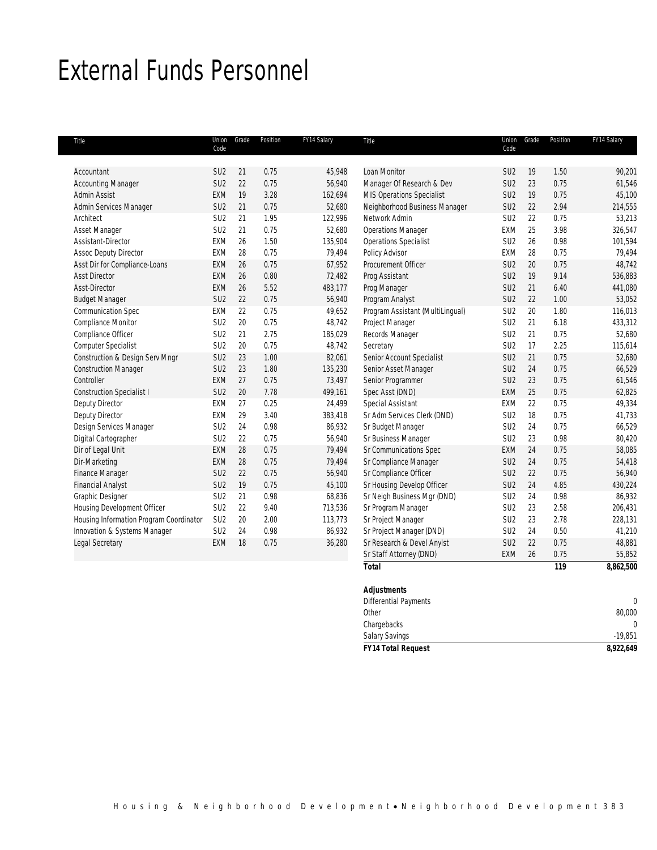# External Funds Personnel

| Title                                   | Union<br>Code   | Grade | Position | FY14 Salary | Title                            | Union<br>Code   | Grade | Position | FY14 Salary |
|-----------------------------------------|-----------------|-------|----------|-------------|----------------------------------|-----------------|-------|----------|-------------|
|                                         |                 |       |          |             |                                  |                 |       |          |             |
| Accountant                              | SU <sub>2</sub> | 21    | 0.75     | 45,948      | Loan Monitor                     | SU <sub>2</sub> | 19    | 1.50     | 90,201      |
| <b>Accounting Manager</b>               | SU <sub>2</sub> | 22    | 0.75     | 56,940      | Manager Of Research & Dev        | SU <sub>2</sub> | 23    | 0.75     | 61,546      |
| Admin Assist                            | EXM             | 19    | 3.28     | 162,694     | MIS Operations Specialist        | SU <sub>2</sub> | 19    | 0.75     | 45,100      |
| Admin Services Manager                  | SU <sub>2</sub> | 21    | 0.75     | 52,680      | Neighborhood Business Manager    | SU <sub>2</sub> | 22    | 2.94     | 214,555     |
| Architect                               | SU <sub>2</sub> | 21    | 1.95     | 122,996     | Network Admin                    | SU <sub>2</sub> | 22    | 0.75     | 53,213      |
| Asset Manager                           | SU <sub>2</sub> | 21    | 0.75     | 52,680      | <b>Operations Manager</b>        | EXM             | 25    | 3.98     | 326,547     |
| Assistant-Director                      | EXM             | 26    | 1.50     | 135,904     | <b>Operations Specialist</b>     | SU <sub>2</sub> | 26    | 0.98     | 101,594     |
| <b>Assoc Deputy Director</b>            | <b>EXM</b>      | 28    | 0.75     | 79,494      | Policy Advisor                   | EXM             | 28    | 0.75     | 79,494      |
| Asst Dir for Compliance-Loans           | <b>EXM</b>      | 26    | 0.75     | 67,952      | Procurement Officer              | SU <sub>2</sub> | 20    | 0.75     | 48,742      |
| <b>Asst Director</b>                    | <b>EXM</b>      | 26    | 0.80     | 72,482      | Prog Assistant                   | SU <sub>2</sub> | 19    | 9.14     | 536,883     |
| Asst-Director                           | <b>EXM</b>      | 26    | 5.52     | 483,177     | Prog Manager                     | SU <sub>2</sub> | 21    | 6.40     | 441,080     |
| <b>Budget Manager</b>                   | SU <sub>2</sub> | 22    | 0.75     | 56,940      | Program Analyst                  | SU <sub>2</sub> | 22    | 1.00     | 53,052      |
| Communication Spec                      | EXM             | 22    | 0.75     | 49,652      | Program Assistant (MultiLingual) | SU <sub>2</sub> | 20    | 1.80     | 116,013     |
| Compliance Monitor                      | SU <sub>2</sub> | 20    | 0.75     | 48,742      | Project Manager                  | SU <sub>2</sub> | 21    | 6.18     | 433,312     |
| Compliance Officer                      | SU <sub>2</sub> | 21    | 2.75     | 185,029     | Records Manager                  | SU <sub>2</sub> | 21    | 0.75     | 52,680      |
| Computer Specialist                     | SU <sub>2</sub> | 20    | 0.75     | 48,742      | Secretary                        | SU <sub>2</sub> | 17    | 2.25     | 115,614     |
| Construction & Design Serv Mngr         | SU <sub>2</sub> | 23    | 1.00     | 82,061      | Senior Account Specialist        | SU <sub>2</sub> | 21    | 0.75     | 52,680      |
| <b>Construction Manager</b>             | SU <sub>2</sub> | 23    | 1.80     | 135,230     | Senior Asset Manager             | SU <sub>2</sub> | 24    | 0.75     | 66,529      |
| Controller                              | <b>EXM</b>      | 27    | 0.75     | 73,497      | Senior Programmer                | SU <sub>2</sub> | 23    | 0.75     | 61,546      |
| <b>Construction Specialist I</b>        | SU <sub>2</sub> | 20    | 7.78     | 499,161     | Spec Asst (DND)                  | EXM             | 25    | 0.75     | 62,825      |
| Deputy Director                         | <b>EXM</b>      | 27    | 0.25     | 24,499      | Special Assistant                | EXM             | 22    | 0.75     | 49,334      |
| <b>Deputy Director</b>                  | <b>EXM</b>      | 29    | 3.40     | 383,418     | Sr Adm Services Clerk (DND)      | SU <sub>2</sub> | 18    | 0.75     | 41,733      |
| Design Services Manager                 | SU <sub>2</sub> | 24    | 0.98     | 86,932      | Sr Budget Manager                | SU <sub>2</sub> | 24    | 0.75     | 66,529      |
| Digital Cartographer                    | SU <sub>2</sub> | 22    | 0.75     | 56,940      | Sr Business Manager              | SU <sub>2</sub> | 23    | 0.98     | 80,420      |
| Dir of Legal Unit                       | <b>EXM</b>      | 28    | 0.75     | 79,494      | Sr Communications Spec           | EXM             | 24    | 0.75     | 58,085      |
| Dir-Marketing                           | <b>EXM</b>      | 28    | 0.75     | 79,494      | Sr Compliance Manager            | SU <sub>2</sub> | 24    | 0.75     | 54,418      |
| <b>Finance Manager</b>                  | SU <sub>2</sub> | 22    | 0.75     | 56,940      | Sr Compliance Officer            | SU <sub>2</sub> | 22    | 0.75     | 56,940      |
| <b>Financial Analyst</b>                | SU <sub>2</sub> | 19    | 0.75     | 45,100      | Sr Housing Develop Officer       | SU <sub>2</sub> | 24    | 4.85     | 430,224     |
| Graphic Designer                        | SU <sub>2</sub> | 21    | 0.98     | 68,836      | Sr Neigh Business Mgr (DND)      | SU <sub>2</sub> | 24    | 0.98     | 86,932      |
| Housing Development Officer             | SU <sub>2</sub> | 22    | 9.40     | 713,536     | Sr Program Manager               | SU <sub>2</sub> | 23    | 2.58     | 206,431     |
| Housing Information Program Coordinator | SU <sub>2</sub> | 20    | 2.00     | 113,773     | Sr Project Manager               | SU <sub>2</sub> | 23    | 2.78     | 228,131     |
| Innovation & Systems Manager            | SU <sub>2</sub> | 24    | 0.98     | 86,932      | Sr Project Manager (DND)         | SU <sub>2</sub> | 24    | 0.50     | 41,210      |
| Legal Secretary                         | <b>EXM</b>      | 18    | 0.75     | 36,280      | Sr Research & Devel Anylst       | SU <sub>2</sub> | 22    | 0.75     | 48,881      |
|                                         |                 |       |          |             | Sr Staff Attorney (DND)          | EXM             | 26    | 0.75     | 55,852      |
|                                         |                 |       |          |             | <b>Total</b>                     |                 |       | 119      | 8,862,500   |

| <b>FY14 Total Request</b>    | 8,922,649 |
|------------------------------|-----------|
| Salary Savings               | $-19,851$ |
| Chargebacks                  |           |
| Other                        | 80,000    |
| <b>Differential Payments</b> |           |
| <b>Adjustments</b>           |           |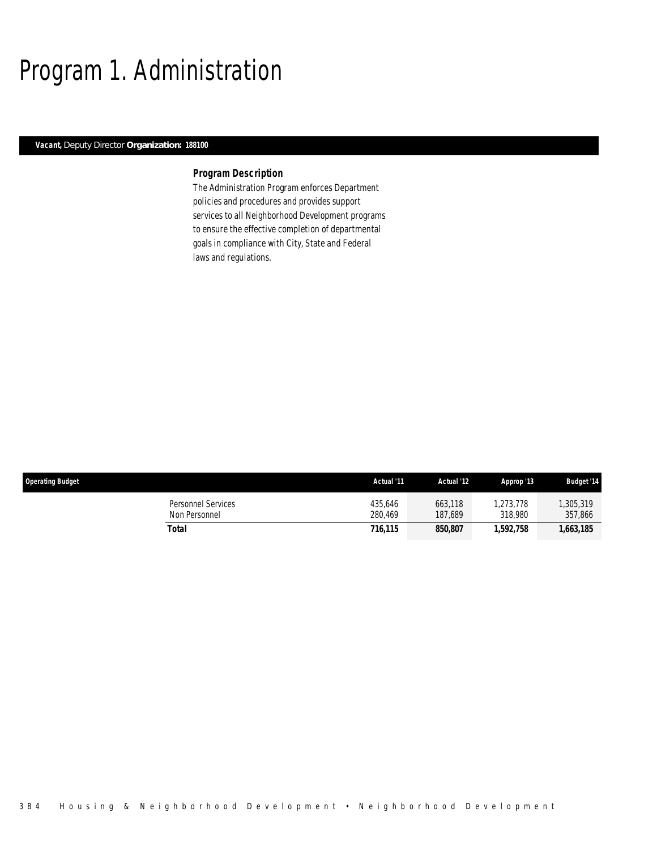# Program 1. Administration

# *Vacant, Deputy Director Organization: 188100*

## *Program Description*

The Administration Program enforces Department policies and procedures and provides support services to all Neighborhood Development programs to ensure the effective completion of departmental goals in compliance with City, State and Federal laws and regulations.

| <b>Operating Budget</b>             | Actual '11         | Actual '12         | Approp '13           | <b>Budget '14</b>   |
|-------------------------------------|--------------------|--------------------|----------------------|---------------------|
| Personnel Services<br>Non Personnel | 435.646<br>280.469 | 663,118<br>187.689 | 1.273.778<br>318,980 | ,305,319<br>357,866 |
| Total                               | 716,115            | 850,807            | 1,592,758            | 1,663,185           |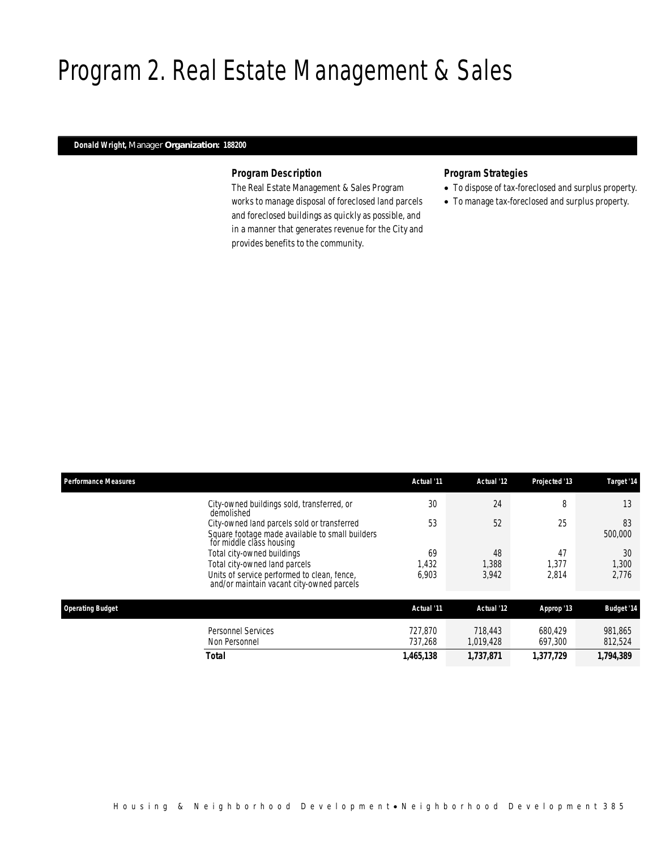# Program 2. Real Estate Management & Sales

# *Donald Wright, Manager Organization: 188200*

## *Program Description*

The Real Estate Management & Sales Program works to manage disposal of foreclosed land parcels and foreclosed buildings as quickly as possible, and in a manner that generates revenue for the City and provides benefits to the community.

# *Program Strategies*

- To dispose of tax-foreclosed and surplus property.
- To manage tax-foreclosed and surplus property.

| <b>Performance Measures</b>                                                                                                                             | Actual '11           | Actual '12           | Projected '13        | Target '14           |
|---------------------------------------------------------------------------------------------------------------------------------------------------------|----------------------|----------------------|----------------------|----------------------|
| City-owned buildings sold, transferred, or<br>demolished                                                                                                | 30                   | 24                   | 8                    | 13                   |
| City-owned land parcels sold or transferred<br>Square footage made available to small builders<br>for middle class housing                              | 53                   | 52                   | 25                   | 83<br>500,000        |
| Total city-owned buildings<br>Total city-owned land parcels<br>Units of service performed to clean, fence,<br>and/or maintain vacant city-owned parcels | 69<br>1,432<br>6,903 | 48<br>1,388<br>3,942 | 47<br>1.377<br>2,814 | 30<br>1,300<br>2,776 |
| <b>Operating Budget</b>                                                                                                                                 | Actual '11           | Actual '12           | Approp '13           | <b>Budget '14</b>    |
| <b>Personnel Services</b><br>Non Personnel                                                                                                              | 727.870<br>737,268   | 718,443<br>1,019,428 | 680.429<br>697,300   | 981,865<br>812,524   |
| Total                                                                                                                                                   | 1,465,138            | 1,737,871            | 1,377,729            | 1,794,389            |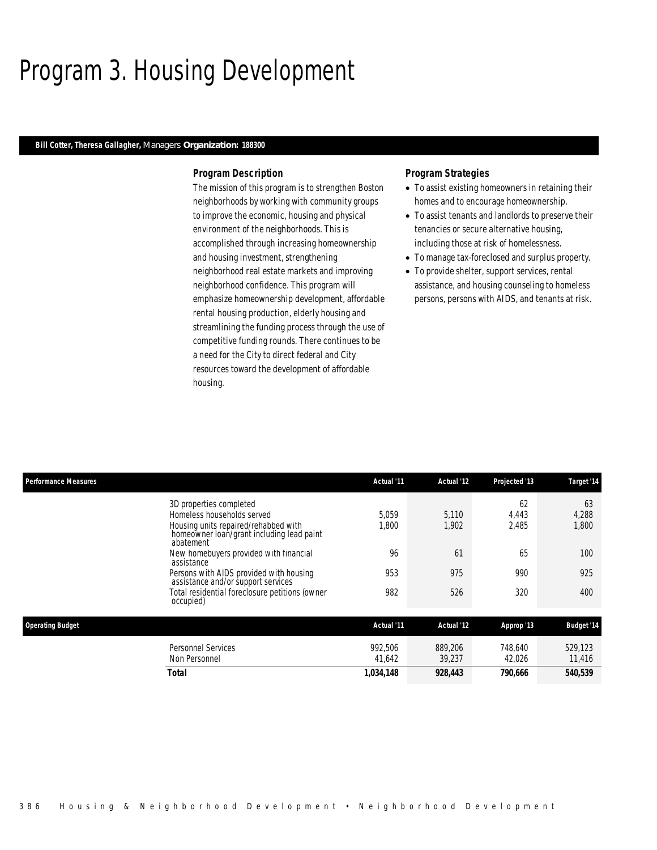# Program 3. Housing Development

## *Bill Cotter, Theresa Gallagher, Managers Organization: 188300*

## *Program Description*

The mission of this program is to strengthen Boston neighborhoods by working with community groups to improve the economic, housing and physical environment of the neighborhoods. This is accomplished through increasing homeownership and housing investment, strengthening neighborhood real estate markets and improving neighborhood confidence. This program will emphasize homeownership development, affordable rental housing production, elderly housing and streamlining the funding process through the use of competitive funding rounds. There continues to be a need for the City to direct federal and City resources toward the development of affordable housing.

## *Program Strategies*

- To assist existing homeowners in retaining their homes and to encourage homeownership.
- To assist tenants and landlords to preserve their tenancies or secure alternative housing, including those at risk of homelessness.
- To manage tax-foreclosed and surplus property.
- To provide shelter, support services, rental assistance, and housing counseling to homeless persons, persons with AIDS, and tenants at risk.

| <b>Performance Measures</b>                                                                    | Actual '11        | Actual '12        | Projected '13     | Target '14        |
|------------------------------------------------------------------------------------------------|-------------------|-------------------|-------------------|-------------------|
| 3D properties completed                                                                        |                   |                   | 62                | 63                |
| Homeless households served                                                                     | 5.059             | 5.110             | 4,443             | 4,288             |
| Housing units repaired/rehabbed with<br>homeowner loan/grant including lead paint<br>abatement | 1,800             | 1,902             | 2,485             | 1,800             |
| New homebuyers provided with financial<br>assistance                                           | 96                | 61                | 65                | 100               |
| Persons with AIDS provided with housing<br>assistance and/or support services                  | 953               | 975               | 990               | 925               |
| Total residential foreclosure petitions (owner<br>occupied)                                    | 982               | 526               | 320               | 400               |
| <b>Operating Budget</b>                                                                        | Actual '11        | Actual '12        | Approp '13        | <b>Budget '14</b> |
| <b>Personnel Services</b><br>Non Personnel                                                     | 992.506<br>41,642 | 889,206<br>39,237 | 748.640<br>42,026 | 529.123<br>11,416 |
| <b>Total</b>                                                                                   | 1,034,148         | 928,443           | 790,666           | 540,539           |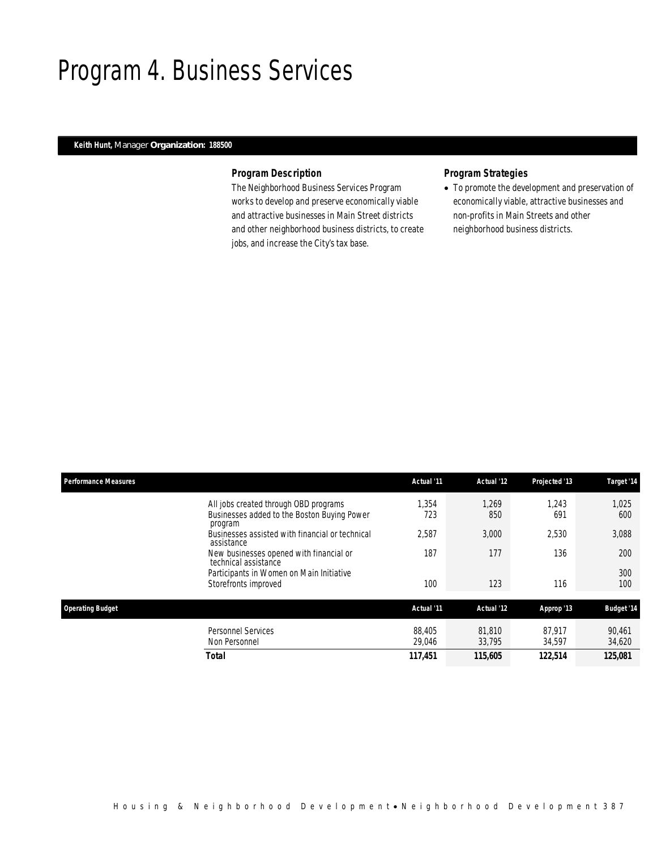# Program 4. Business Services

# *Keith Hunt, Manager Organization: 188500*

# *Program Description*

The Neighborhood Business Services Program works to develop and preserve economically viable and attractive businesses in Main Street districts and other neighborhood business districts, to create jobs, and increase the City's tax base.

# *Program Strategies*

• To promote the development and preservation of economically viable, attractive businesses and non-profits in Main Streets and other neighborhood business districts.

| <b>Performance Measures</b>                                                                     | Actual '11       | Actual '12       | Projected '13    | Target '14        |
|-------------------------------------------------------------------------------------------------|------------------|------------------|------------------|-------------------|
| All jobs created through OBD programs<br>Businesses added to the Boston Buying Power<br>program | 1.354<br>723     | 1,269<br>850     | 1,243<br>691     | 1,025<br>600      |
| Businesses assisted with financial or technical<br>assistance                                   | 2,587            | 3,000            | 2,530            | 3,088             |
| New businesses opened with financial or<br>technical assistance                                 | 187              | 177              | 136              | 200               |
| Participants in Women on Main Initiative<br>Storefronts improved                                | 100              | 123              | 116              | 300<br>100        |
| <b>Operating Budget</b>                                                                         | Actual '11       | Actual '12       | Approp '13       | <b>Budget '14</b> |
| <b>Personnel Services</b><br>Non Personnel                                                      | 88,405<br>29,046 | 81.810<br>33.795 | 87.917<br>34,597 | 90.461<br>34,620  |
| <b>Total</b>                                                                                    | 117,451          | 115,605          | 122,514          | 125,081           |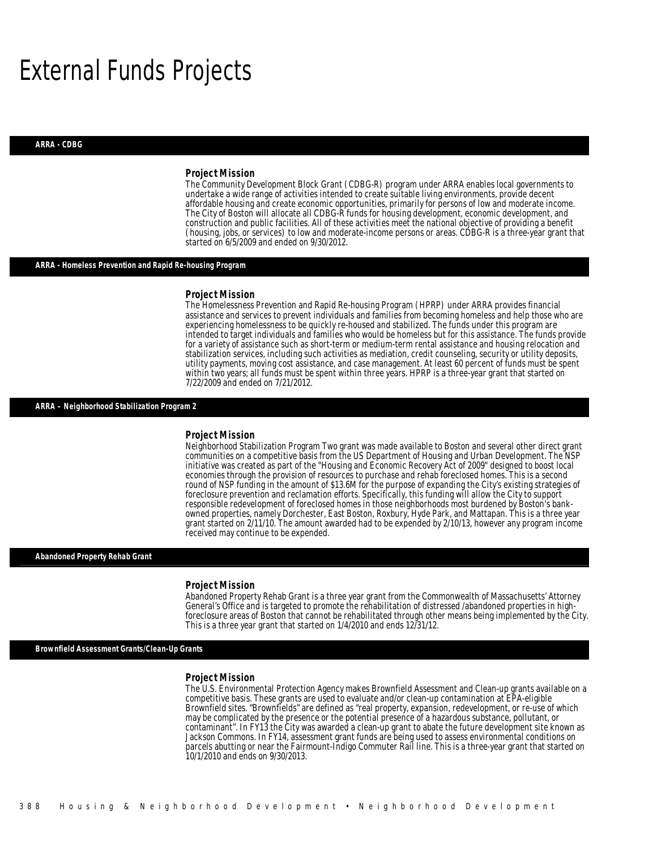# External Funds Projects

#### *ARRA - CDBG*

### *Project Mission*

The Community Development Block Grant (CDBG-R) program under ARRA enables local governments to undertake a wide range of activities intended to create suitable living environments, provide decent affordable housing and create economic opportunities, primarily for persons of low and moderate income. The City of Boston will allocate all CDBG-R funds for housing development, economic development, and construction and public facilities. All of these activities meet the national objective of providing a benefit (housing, jobs, or services) to low and moderate-income persons or areas. CDBG-R is a three-year grant that started on 6/5/2009 and ended on 9/30/2012.

### *ARRA - Homeless Prevention and Rapid Re-housing Program*

#### *Project Mission*

The Homelessness Prevention and Rapid Re-housing Program (HPRP) under ARRA provides financial assistance and services to prevent individuals and families from becoming homeless and help those who are experiencing homelessness to be quickly re-housed and stabilized. The funds under this program are intended to target individuals and families who would be homeless but for this assistance. The funds provide for a variety of assistance such as short-term or medium-term rental assistance and housing relocation and stabilization services, including such activities as mediation, credit counseling, security or utility deposits, utility payments, moving cost assistance, and case management. At least 60 percent of funds must be spent within two years; all funds must be spent within three years. HPRP is a three-year grant that started on 7/22/2009 and ended on 7/21/2012.

## *ARRA – Neighborhood Stabilization Program 2*

### *Project Mission*

Neighborhood Stabilization Program Two grant was made available to Boston and several other direct grant communities on a competitive basis from the US Department of Housing and Urban Development. The NSP initiative was created as part of the "Housing and Economic Recovery Act of 2009" designed to boost local economies through the provision of resources to purchase and rehab foreclosed homes. This is a second round of NSP funding in the amount of \$13.6M for the purpose of expanding the City's existing strategies of foreclosure prevention and reclamation efforts. Specifically, this funding will allow the City to support responsible redevelopment of foreclosed homes in those neighborhoods most burdened by Boston's bankowned properties, namely Dorchester, East Boston, Roxbury, Hyde Park, and Mattapan. This is a three year grant started on 2/11/10. The amount awarded had to be expended by 2/10/13, however any program income received may continue to be expended.

### *Abandoned Property Rehab Grant*

#### *Project Mission*

Abandoned Property Rehab Grant is a three year grant from the Commonwealth of Massachusetts' Attorney General's Office and is targeted to promote the rehabilitation of distressed /abandoned properties in highforeclosure areas of Boston that cannot be rehabilitated through other means being implemented by the City. This is a three year grant that started on 1/4/2010 and ends 12/31/12.

*Brownfield Assessment Grants/Clean-Up Grants* 

#### *Project Mission*

The U.S. Environmental Protection Agency makes Brownfield Assessment and Clean-up grants available on a competitive basis. These grants are used to evaluate and/or clean-up contamination at EPA-eligible Brownfield sites. "Brownfields" are defined as "real property, expansion, redevelopment, or re-use of which may be complicated by the presence or the potential presence of a hazardous substance, pollutant, or contaminant". In FY13 the City was awarded a clean-up grant to abate the future development site known as Jackson Commons. In FY14, assessment grant funds are being used to assess environmental conditions on parcels abutting or near the Fairmount-Indigo Commuter Rail line. This is a three-year grant that started on 10/1/2010 and ends on 9/30/2013.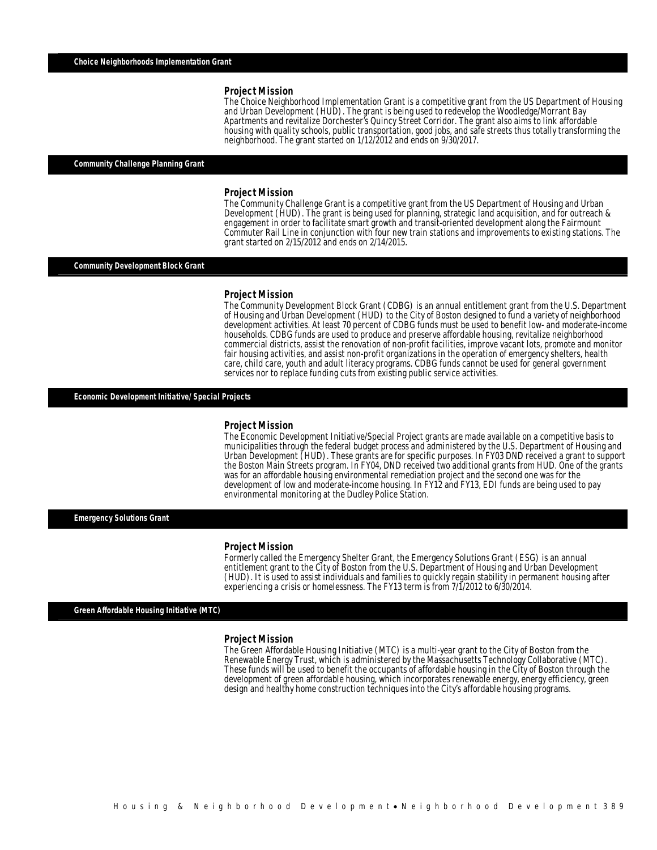The Choice Neighborhood Implementation Grant is a competitive grant from the US Department of Housing and Urban Development (HUD). The grant is being used to redevelop the Woodledge/Morrant Bay Apartments and revitalize Dorchester's Quincy Street Corridor. The grant also aims to link affordable housing with quality schools, public transportation, good jobs, and safe streets thus totally transforming the neighborhood. The grant started on 1/12/2012 and ends on 9/30/2017.

### *Community Challenge Planning Grant*

### *Project Mission*

The Community Challenge Grant is a competitive grant from the US Department of Housing and Urban Development (HUD). The grant is being used for planning, strategic land acquisition, and for outreach & engagement in order to facilitate smart growth and transit-oriented development along the Fairmount Commuter Rail Line in conjunction with four new train stations and improvements to existing stations. The grant started on 2/15/2012 and ends on 2/14/2015.

### *Community Development Block Grant*

#### *Project Mission*

Ì

The Community Development Block Grant (CDBG) is an annual entitlement grant from the U.S. Department of Housing and Urban Development (HUD) to the City of Boston designed to fund a variety of neighborhood development activities. At least 70 percent of CDBG funds must be used to benefit low- and moderate-income households. CDBG funds are used to produce and preserve affordable housing, revitalize neighborhood commercial districts, assist the renovation of non-profit facilities, improve vacant lots, promote and monitor fair housing activities, and assist non-profit organizations in the operation of emergency shelters, health care, child care, youth and adult literacy programs. CDBG funds cannot be used for general government services nor to replace funding cuts from existing public service activities.

*Economic Development Initiative/ Special Projects* 

#### *Project Mission*

The Economic Development Initiative/Special Project grants are made available on a competitive basis to municipalities through the federal budget process and administered by the U.S. Department of Housing and Urban Development (HUD). These grants are for specific purposes. In FY03 DND received a grant to support the Boston Main Streets program. In FY04, DND received two additional grants from HUD. One of the grants was for an affordable housing environmental remediation project and the second one was for the development of low and moderate-income housing. In FY12 and FY13, EDI funds are being used to pay environmental monitoring at the Dudley Police Station.

*Emergency Solutions Grant* 

### *Project Mission*

Formerly called the Emergency Shelter Grant, the Emergency Solutions Grant (ESG) is an annual entitlement grant to the City of Boston from the U.S. Department of Housing and Urban Development (HUD). It is used to assist individuals and families to quickly regain stability in permanent housing after experiencing a crisis or homelessness. The FY13 term is from 7/1/2012 to 6/30/2014.

*Green Affordable Housing Initiative (MTC)* 

#### *Project Mission*

The Green Affordable Housing Initiative (MTC) is a multi-year grant to the City of Boston from the Renewable Energy Trust, which is administered by the Massachusetts Technology Collaborative (MTC). These funds will be used to benefit the occupants of affordable housing in the City of Boston through the development of green affordable housing, which incorporates renewable energy, energy efficiency, green design and healthy home construction techniques into the City's affordable housing programs.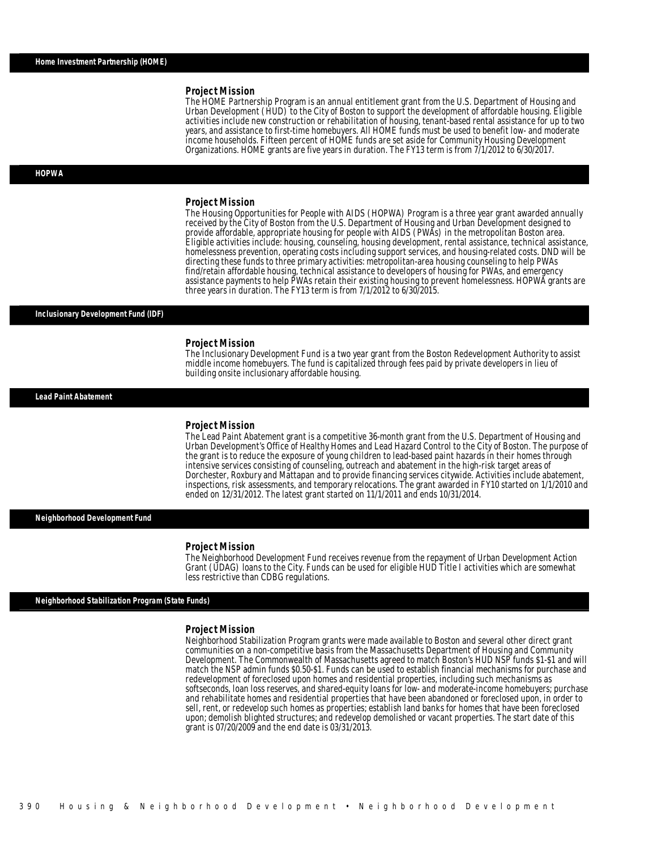The HOME Partnership Program is an annual entitlement grant from the U.S. Department of Housing and Urban Development (HUD) to the City of Boston to support the development of affordable housing. Eligible activities include new construction or rehabilitation of housing, tenant-based rental assistance for up to two years, and assistance to first-time homebuyers. All HOME funds must be used to benefit low- and moderate income households. Fifteen percent of HOME funds are set aside for Community Housing Development Organizations. HOME grants are five years in duration. The FY13 term is from 7/1/2012 to 6/30/2017.

#### *HOPWA*

#### *Project Mission*

The Housing Opportunities for People with AIDS (HOPWA) Program is a three year grant awarded annually received by the City of Boston from the U.S. Department of Housing and Urban Development designed to provide affordable, appropriate housing for people with AIDS (PWAs) in the metropolitan Boston area. Eligible activities include: housing, counseling, housing development, rental assistance, technical assistance, homelessness prevention, operating costs including support services, and housing-related costs. DND will be directing these funds to three primary activities: metropolitan-area housing counseling to help PWAs find/retain affordable housing, technical assistance to developers of housing for PWAs, and emergency assistance payments to help PWAs retain their existing housing to prevent homelessness. HOPWA grants are three years in duration. The FY13 term is from 7/1/2012 to 6/30/2015.

#### *Inclusionary Development Fund (IDF)*

### *Project Mission*

The Inclusionary Development Fund is a two year grant from the Boston Redevelopment Authority to assist middle income homebuyers. The fund is capitalized through fees paid by private developers in lieu of building onsite inclusionary affordable housing.

*Lead Paint Abatement* 

#### *Project Mission*

The Lead Paint Abatement grant is a competitive 36-month grant from the U.S. Department of Housing and Urban Development's Office of Healthy Homes and Lead Hazard Control to the City of Boston. The purpose of the grant is to reduce the exposure of young children to lead-based paint hazards in their homes through intensive services consisting of counseling, outreach and abatement in the high-risk target areas of Dorchester, Roxbury and Mattapan and to provide financing services citywide. Activities include abatement, inspections, risk assessments, and temporary relocations. The grant awarded in FY10 started on 1/1/2010 and ended on 12/31/2012. The latest grant started on 11/1/2011 and ends 10/31/2014.

*Neighborhood Development Fund* 

### *Project Mission*

The Neighborhood Development Fund receives revenue from the repayment of Urban Development Action Grant (UDAG) loans to the City. Funds can be used for eligible HUD Title I activities which are somewhat less restrictive than CDBG regulations.

### *Neighborhood Stabilization Program (State Funds)*

#### *Project Mission*

Neighborhood Stabilization Program grants were made available to Boston and several other direct grant communities on a non-competitive basis from the Massachusetts Department of Housing and Community Development. The Commonwealth of Massachusetts agreed to match Boston's HUD NSP funds \$1-\$1 and will match the NSP admin funds \$0.50-\$1. Funds can be used to establish financial mechanisms for purchase and redevelopment of foreclosed upon homes and residential properties, including such mechanisms as softseconds, loan loss reserves, and shared-equity loans for low- and moderate-income homebuyers; purchase and rehabilitate homes and residential properties that have been abandoned or foreclosed upon, in order to sell, rent, or redevelop such homes as properties; establish land banks for homes that have been foreclosed upon; demolish blighted structures; and redevelop demolished or vacant properties. The start date of this grant is 07/20/2009 and the end date is 03/31/2013.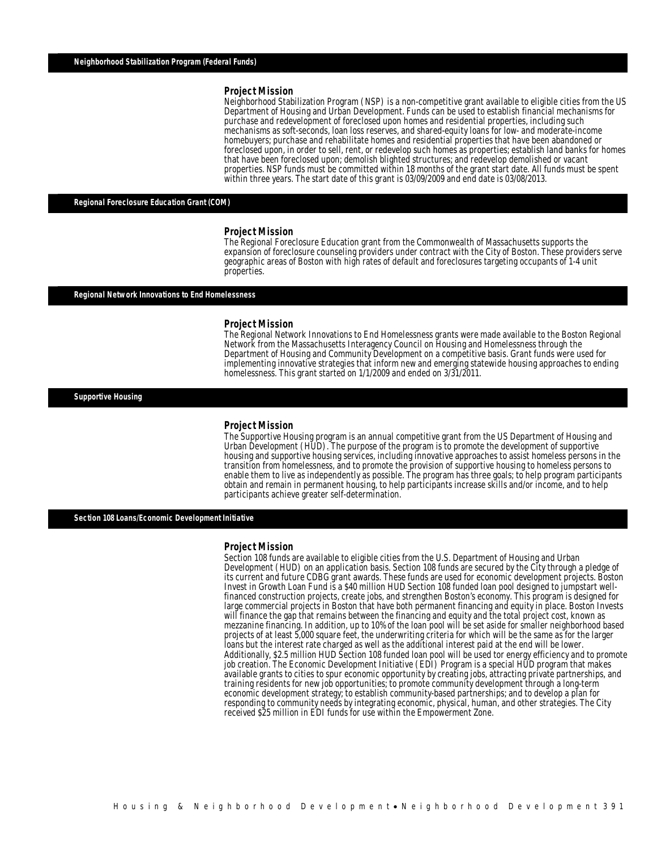Neighborhood Stabilization Program (NSP) is a non-competitive grant available to eligible cities from the US Department of Housing and Urban Development. Funds can be used to establish financial mechanisms for purchase and redevelopment of foreclosed upon homes and residential properties, including such mechanisms as soft-seconds, loan loss reserves, and shared-equity loans for low- and moderate-income homebuyers; purchase and rehabilitate homes and residential properties that have been abandoned or foreclosed upon, in order to sell, rent, or redevelop such homes as properties; establish land banks for homes that have been foreclosed upon; demolish blighted structures; and redevelop demolished or vacant properties. NSP funds must be committed within 18 months of the grant start date. All funds must be spent within three years. The start date of this grant is 03/09/2009 and end date is 03/08/2013.

### *Regional Foreclosure Education Grant (COM)*

#### *Project Mission*

The Regional Foreclosure Education grant from the Commonwealth of Massachusetts supports the expansion of foreclosure counseling providers under contract with the City of Boston. These providers serve geographic areas of Boston with high rates of default and foreclosures targeting occupants of 1-4 unit properties.

### *Regional Network Innovations to End Homelessness*

#### *Project Mission*

Î

The Regional Network Innovations to End Homelessness grants were made available to the Boston Regional Network from the Massachusetts Interagency Council on Housing and Homelessness through the Department of Housing and Community Development on a competitive basis. Grant funds were used for implementing innovative strategies that inform new and emerging statewide housing approaches to ending homelessness. This grant started on  $1/1/2009$  and ended on  $3/31/2011$ .

*Supportive Housing* 

#### *Project Mission*

The Supportive Housing program is an annual competitive grant from the US Department of Housing and Urban Development (HUD). The purpose of the program is to promote the development of supportive housing and supportive housing services, including innovative approaches to assist homeless persons in the transition from homelessness, and to promote the provision of supportive housing to homeless persons to enable them to live as independently as possible. The program has three goals; to help program participants obtain and remain in permanent housing, to help participants increase skills and/or income, and to help participants achieve greater self-determination.

*Section 108 Loans/Economic Development Initiative* 

#### *Project Mission*

Î

Section 108 funds are available to eligible cities from the U.S. Department of Housing and Urban Development (HUD) on an application basis. Section 108 funds are secured by the City through a pledge of its current and future CDBG grant awards. These funds are used for economic development projects. Boston Invest in Growth Loan Fund is a \$40 million HUD Section 108 funded loan pool designed to jumpstart wellfinanced construction projects, create jobs, and strengthen Boston's economy. This program is designed for will finance the gap that remains between the financing and equity and the total project cost, known as mezzanine financing. In addition, up to 10% of the loan pool will be set aside for smaller neighborhood based projects of at least 5,000 square feet, the underwriting criteria for which will be the same as for the larger loans but the interest rate charged as well as the additional interest paid at the end will be lower. Additionally, \$2.5 million HUD Section 108 funded loan pool will be used tor energy efficiency and to promote job creation. The Economic Development Initiative (EDI) Program is a special HUD program that makes available grants to cities to spur economic opportunity by creating jobs, attracting private partnerships, and training residents for new job opportunities; to promote community development through a long-term economic development strategy; to establish community-based partnerships; and to develop a plan for responding to community needs by integrating economic, physical, human, and other strategies. The City received \$25 million in EDI funds for use within the Empowerment Zone.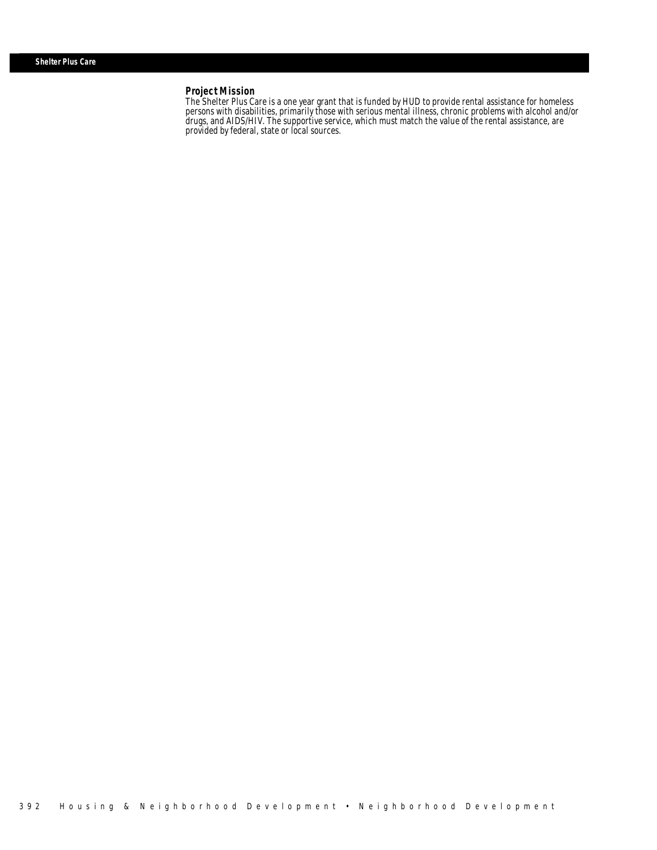Î

The Shelter Plus Care is a one year grant that is funded by HUD to provide rental assistance for homeless persons with disabilities, primarily those with serious mental illness, chronic problems with alcohol and/or drugs, and AIDS/HIV. The supportive service, which must match the value of the rental assistance, are provided by federal, state or local sources.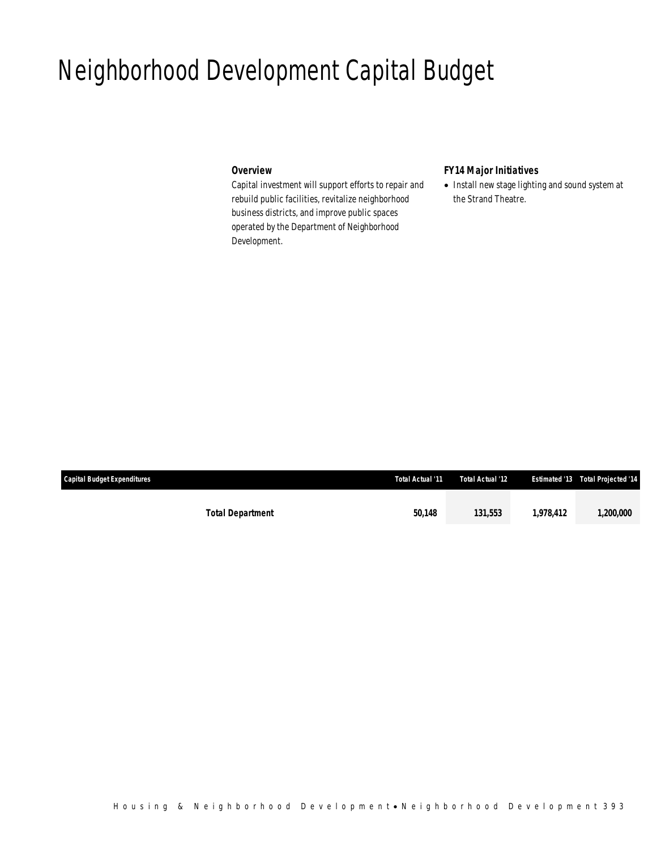# Neighborhood Development Capital Budget

## *Overview*

Capital investment will support efforts to repair and rebuild public facilities, revitalize neighborhood business districts, and improve public spaces operated by the Department of Neighborhood Development.

# *FY14 Major Initiatives*

• Install new stage lighting and sound system at the Strand Theatre.

| Capital Budget Expenditures | Total Actual '11 | Total Actual '12 |           | <b>Estimated '13  Total Projected '14</b> |
|-----------------------------|------------------|------------------|-----------|-------------------------------------------|
|                             |                  |                  |           |                                           |
| <b>Total Department</b>     | 50.148           | 131.553          | 1.978.412 | <i><b>1,200,000</b></i>                   |